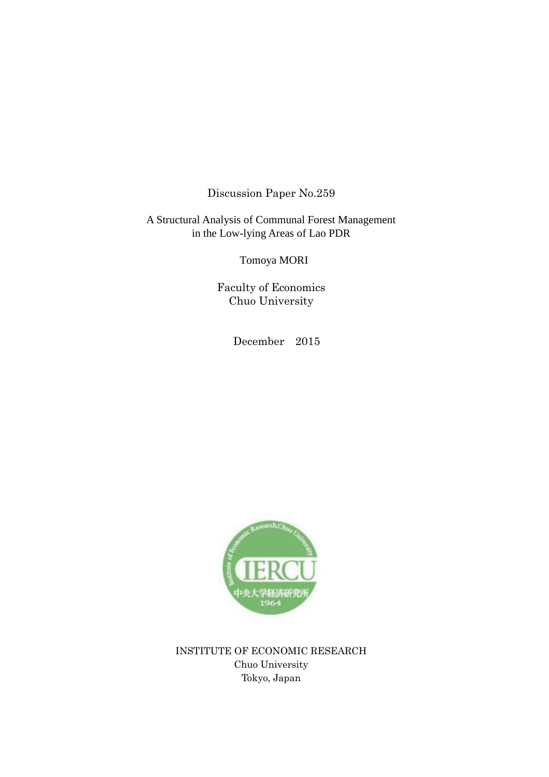Discussion Paper No.259

A Structural Analysis of Communal Forest Management in the Low-lying Areas of Lao PDR

Tomoya MORI

Faculty of Economics Chuo University

December 2015



INSTITUTE OF ECONOMIC RESEARCH Chuo University Tokyo, Japan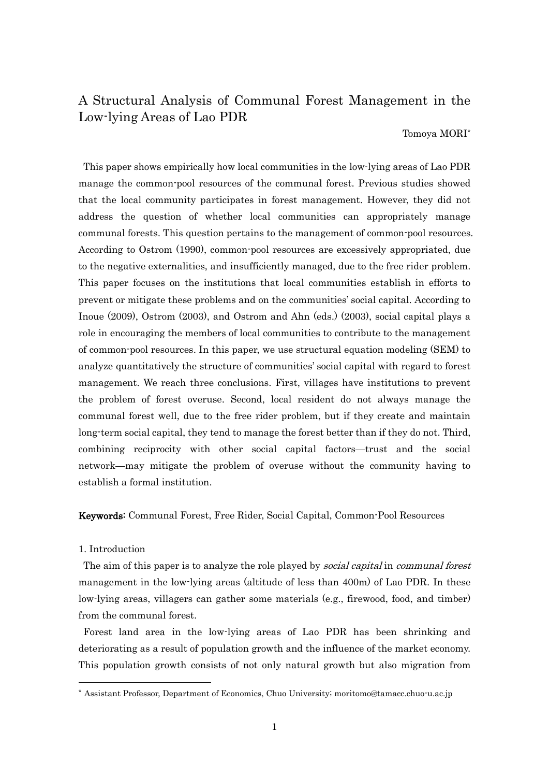# A Structural Analysis of Communal Forest Management in the Low-lying Areas of Lao PDR

Tomoya MORI\*

This paper shows empirically how local communities in the low-lying areas of Lao PDR manage the common-pool resources of the communal forest. Previous studies showed that the local community participates in forest management. However, they did not address the question of whether local communities can appropriately manage communal forests. This question pertains to the management of common-pool resources. According to Ostrom (1990), common-pool resources are excessively appropriated, due to the negative externalities, and insufficiently managed, due to the free rider problem. This paper focuses on the institutions that local communities establish in efforts to prevent or mitigate these problems and on the communities' social capital. According to Inoue (2009), Ostrom (2003), and Ostrom and Ahn (eds.) (2003), social capital plays a role in encouraging the members of local communities to contribute to the management of common-pool resources. In this paper, we use structural equation modeling (SEM) to analyze quantitatively the structure of communities' social capital with regard to forest management. We reach three conclusions. First, villages have institutions to prevent the problem of forest overuse. Second, local resident do not always manage the communal forest well, due to the free rider problem, but if they create and maintain long-term social capital, they tend to manage the forest better than if they do not. Third, combining reciprocity with other social capital factors—trust and the social network—may mitigate the problem of overuse without the community having to establish a formal institution.

Keywords: Communal Forest, Free Rider, Social Capital, Common-Pool Resources

## 1. Introduction

-

The aim of this paper is to analyze the role played by *social capital* in *communal forest* management in the low-lying areas (altitude of less than 400m) of Lao PDR. In these low-lying areas, villagers can gather some materials (e.g., firewood, food, and timber) from the communal forest.

Forest land area in the low-lying areas of Lao PDR has been shrinking and deteriorating as a result of population growth and the influence of the market economy. This population growth consists of not only natural growth but also migration from

<sup>\*</sup> Assistant Professor, Department of Economics, Chuo University; moritomo@tamacc.chuo-u.ac.jp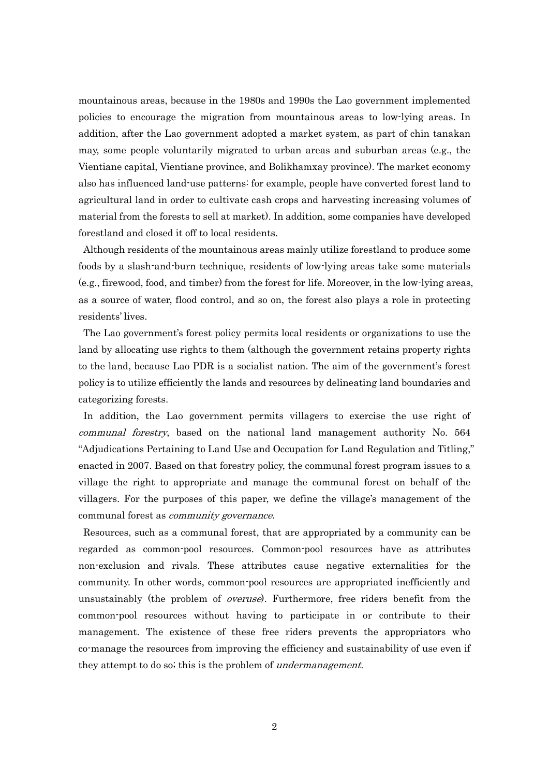mountainous areas, because in the 1980s and 1990s the Lao government implemented policies to encourage the migration from mountainous areas to low-lying areas. In addition, after the Lao government adopted a market system, as part of chin tanakan may, some people voluntarily migrated to urban areas and suburban areas (e.g., the Vientiane capital, Vientiane province, and Bolikhamxay province). The market economy also has influenced land-use patterns: for example, people have converted forest land to agricultural land in order to cultivate cash crops and harvesting increasing volumes of material from the forests to sell at market). In addition, some companies have developed forestland and closed it off to local residents.

Although residents of the mountainous areas mainly utilize forestland to produce some foods by a slash-and-burn technique, residents of low-lying areas take some materials (e.g., firewood, food, and timber) from the forest for life. Moreover, in the low-lying areas, as a source of water, flood control, and so on, the forest also plays a role in protecting residents' lives.

The Lao government's forest policy permits local residents or organizations to use the land by allocating use rights to them (although the government retains property rights to the land, because Lao PDR is a socialist nation. The aim of the government's forest policy is to utilize efficiently the lands and resources by delineating land boundaries and categorizing forests.

In addition, the Lao government permits villagers to exercise the use right of communal forestry, based on the national land management authority No. 564 "Adjudications Pertaining to Land Use and Occupation for Land Regulation and Titling," enacted in 2007. Based on that forestry policy, the communal forest program issues to a village the right to appropriate and manage the communal forest on behalf of the villagers. For the purposes of this paper, we define the village's management of the communal forest as community governance.

Resources, such as a communal forest, that are appropriated by a community can be regarded as common-pool resources. Common-pool resources have as attributes non-exclusion and rivals. These attributes cause negative externalities for the community. In other words, common-pool resources are appropriated inefficiently and unsustainably (the problem of *overuse*). Furthermore, free riders benefit from the common-pool resources without having to participate in or contribute to their management. The existence of these free riders prevents the appropriators who co-manage the resources from improving the efficiency and sustainability of use even if they attempt to do so; this is the problem of *undermanagement*.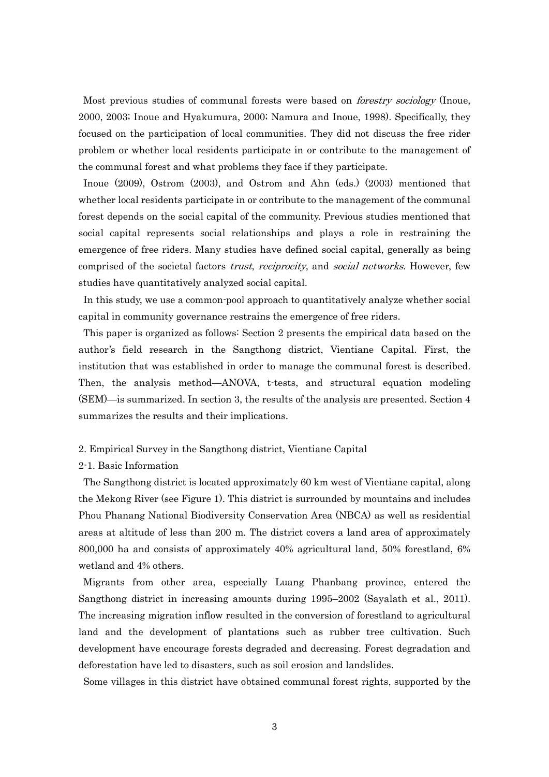Most previous studies of communal forests were based on *forestry sociology* (Inoue, 2000, 2003; Inoue and Hyakumura, 2000; Namura and Inoue, 1998). Specifically, they focused on the participation of local communities. They did not discuss the free rider problem or whether local residents participate in or contribute to the management of the communal forest and what problems they face if they participate.

Inoue (2009), Ostrom (2003), and Ostrom and Ahn (eds.) (2003) mentioned that whether local residents participate in or contribute to the management of the communal forest depends on the social capital of the community. Previous studies mentioned that social capital represents social relationships and plays a role in restraining the emergence of free riders. Many studies have defined social capital, generally as being comprised of the societal factors trust, reciprocity, and social networks. However, few studies have quantitatively analyzed social capital.

In this study, we use a common-pool approach to quantitatively analyze whether social capital in community governance restrains the emergence of free riders.

This paper is organized as follows: Section 2 presents the empirical data based on the author's field research in the Sangthong district, Vientiane Capital. First, the institution that was established in order to manage the communal forest is described. Then, the analysis method—ANOVA, t-tests, and structural equation modeling (SEM)—is summarized. In section 3, the results of the analysis are presented. Section 4 summarizes the results and their implications.

- 2. Empirical Survey in the Sangthong district, Vientiane Capital
- 2-1. Basic Information

The Sangthong district is located approximately 60 km west of Vientiane capital, along the Mekong River (see Figure 1). This district is surrounded by mountains and includes Phou Phanang National Biodiversity Conservation Area (NBCA) as well as residential areas at altitude of less than 200 m. The district covers a land area of approximately 800,000 ha and consists of approximately 40% agricultural land, 50% forestland, 6% wetland and 4% others.

Migrants from other area, especially Luang Phanbang province, entered the Sangthong district in increasing amounts during 1995–2002 (Sayalath et al., 2011). The increasing migration inflow resulted in the conversion of forestland to agricultural land and the development of plantations such as rubber tree cultivation. Such development have encourage forests degraded and decreasing. Forest degradation and deforestation have led to disasters, such as soil erosion and landslides.

Some villages in this district have obtained communal forest rights, supported by the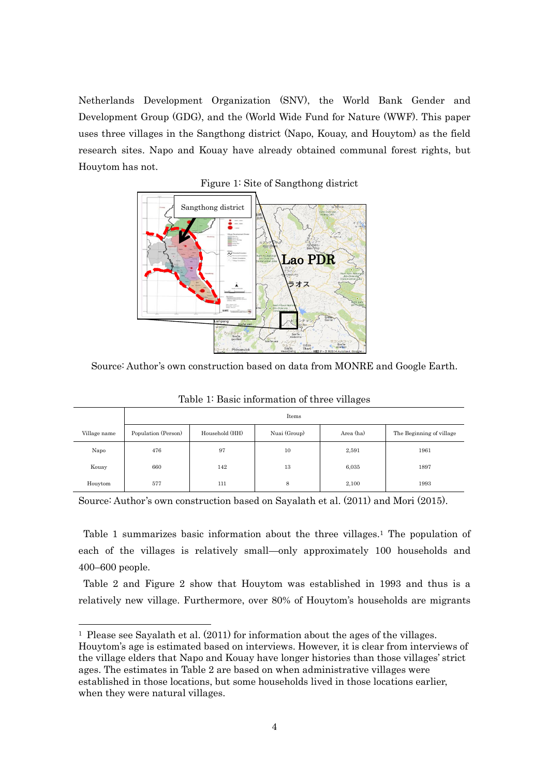Netherlands Development Organization (SNV), the World Bank Gender and Development Group (GDG), and the (World Wide Fund for Nature (WWF). This paper uses three villages in the Sangthong district (Napo, Kouay, and Houytom) as the field research sites. Napo and Kouay have already obtained communal forest rights, but Houytom has not.



# Figure 1: Site of Sangthong district

Source: Author's own construction based on data from MONRE and Google Earth.

|              | Items               |                |              |           |                          |
|--------------|---------------------|----------------|--------------|-----------|--------------------------|
| Village name | Population (Person) | Household (HH) | Nuai (Group) | Area (ha) | The Beginning of village |
| Napo         | 476                 | 97             | 10           | 2,591     | 1961                     |
| Kouay        | 660                 | 142            | 13           | 6,035     | 1897                     |
| Houytom      | 577                 | 111            | 8            | 2,100     | 1993                     |

Table 1: Basic information of three villages

Source: Author's own construction based on Sayalath et al. (2011) and Mori (2015).

Table 1 summarizes basic information about the three villages. <sup>1</sup> The population of each of the villages is relatively small—only approximately 100 households and 400–600 people.

Table 2 and Figure 2 show that Houytom was established in 1993 and thus is a relatively new village. Furthermore, over 80% of Houytom's households are migrants

-

<sup>1</sup> Please see Sayalath et al. (2011) for information about the ages of the villages.

Houytom's age is estimated based on interviews. However, it is clear from interviews of the village elders that Napo and Kouay have longer histories than those villages' strict ages. The estimates in Table 2 are based on when administrative villages were established in those locations, but some households lived in those locations earlier, when they were natural villages.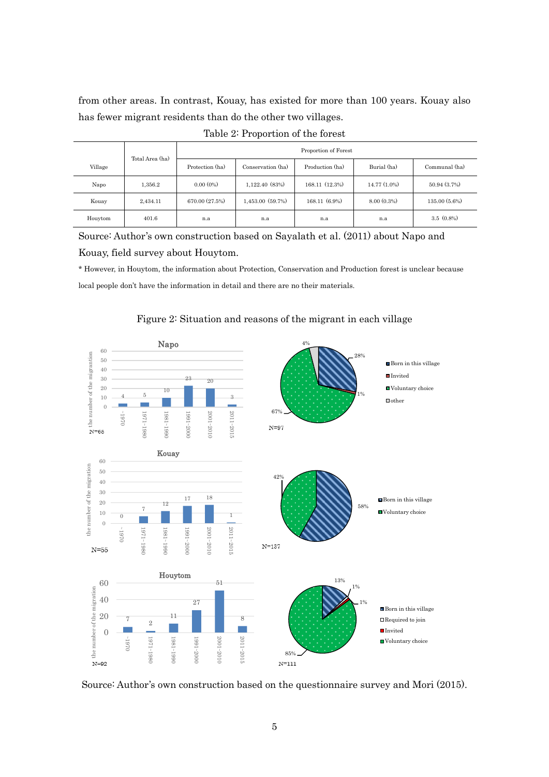from other areas. In contrast, Kouay, has existed for more than 100 years. Kouay also has fewer migrant residents than do the other two villages.

|         |                 | Proportion of Forest |                   |                 |                |                 |
|---------|-----------------|----------------------|-------------------|-----------------|----------------|-----------------|
| Village | Total Area (ha) | Protection (ha)      | Conservation (ha) | Production (ha) | Burial (ha)    | Communal (ha)   |
| Napo    | 1,356.2         | $0.00(0\%)$          | 1,122.40 (83%)    | 168.11 (12.3%)  | $14.77(1.0\%)$ | 50.94 (3.7%)    |
| Kouay   | 2,434.11        | 670.00 (27.5%)       | 1,453.00 (59.7%)  | $168.11(6.9\%)$ | 8.00(0.3%)     | $135.00(5.6\%)$ |
| Houytom | 401.6           | n.a                  | n.a               | n.a             | n.a            | $3.5(0.8\%)$    |

Source: Author's own construction based on Sayalath et al. (2011) about Napo and Kouay, field survey about Houytom.

\* However, in Houytom, the information about Protection, Conservation and Production forest is unclear because local people don't have the information in detail and there are no their materials.



# Figure 2: Situation and reasons of the migrant in each village

Source: Author's own construction based on the questionnaire survey and Mori (2015).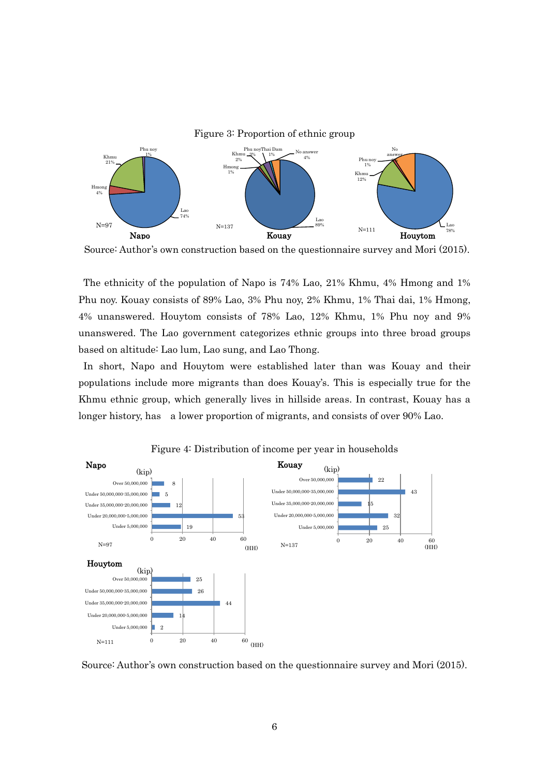

Source: Author's own construction based on the questionnaire survey and Mori (2015).

The ethnicity of the population of Napo is 74% Lao, 21% Khmu, 4% Hmong and 1% Phu noy. Kouay consists of 89% Lao, 3% Phu noy, 2% Khmu, 1% Thai dai, 1% Hmong, 4% unanswered. Houytom consists of 78% Lao, 12% Khmu, 1% Phu noy and 9% unanswered. The Lao government categorizes ethnic groups into three broad groups based on altitude: Lao lum, Lao sung, and Lao Thong.

In short, Napo and Houytom were established later than was Kouay and their populations include more migrants than does Kouay's. This is especially true for the Khmu ethnic group, which generally lives in hillside areas. In contrast, Kouay has a longer history, has a lower proportion of migrants, and consists of over 90% Lao.



Figure 4: Distribution of income per year in households

Source: Author's own construction based on the questionnaire survey and Mori (2015).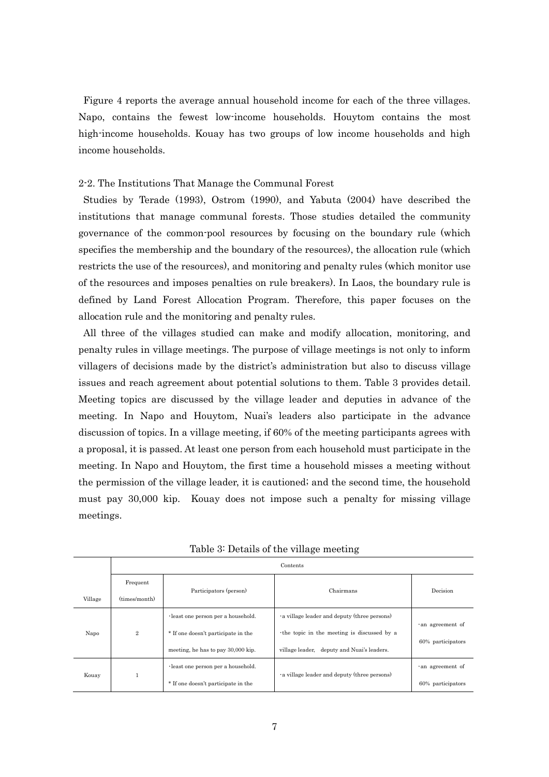Figure 4 reports the average annual household income for each of the three villages. Napo, contains the fewest low-income households. Houytom contains the most high-income households. Kouay has two groups of low income households and high income households.

#### 2-2. The Institutions That Manage the Communal Forest

Studies by Terade (1993), Ostrom (1990), and Yabuta (2004) have described the institutions that manage communal forests. Those studies detailed the community governance of the common-pool resources by focusing on the boundary rule (which specifies the membership and the boundary of the resources), the allocation rule (which restricts the use of the resources), and monitoring and penalty rules (which monitor use of the resources and imposes penalties on rule breakers). In Laos, the boundary rule is defined by Land Forest Allocation Program. Therefore, this paper focuses on the allocation rule and the monitoring and penalty rules.

All three of the villages studied can make and modify allocation, monitoring, and penalty rules in village meetings. The purpose of village meetings is not only to inform villagers of decisions made by the district's administration but also to discuss village issues and reach agreement about potential solutions to them. Table 3 provides detail. Meeting topics are discussed by the village leader and deputies in advance of the meeting. In Napo and Houytom, Nuai's leaders also participate in the advance discussion of topics. In a village meeting, if 60% of the meeting participants agrees with a proposal, it is passed. At least one person from each household must participate in the meeting. In Napo and Houytom, the first time a household misses a meeting without the permission of the village leader, it is cautioned; and the second time, the household must pay 30,000 kip. Kouay does not impose such a penalty for missing village meetings.

|         | Contents                                                                         |                                           |                                             |                                      |  |
|---------|----------------------------------------------------------------------------------|-------------------------------------------|---------------------------------------------|--------------------------------------|--|
|         | Frequent                                                                         | Participators (person)                    | Chairmans                                   | Decision                             |  |
| Village | (times/month)                                                                    |                                           |                                             |                                      |  |
|         |                                                                                  | $\cdot$ least one person per a household. | a village leader and deputy (three persons) |                                      |  |
| Napo    | $\overline{2}$                                                                   | * If one doesn't participate in the       | the topic in the meeting is discussed by a  | an agreement of<br>60% participators |  |
|         |                                                                                  | meeting, he has to pay 30,000 kip.        | village leader, deputy and Nuai's leaders.  |                                      |  |
| Kouay   | $\cdot$ least one person per a household.<br>* If one doesn't participate in the |                                           | a village leader and deputy (three persons) | an agreement of                      |  |
|         |                                                                                  |                                           | 60% participators                           |                                      |  |

Table 3: Details of the village meeting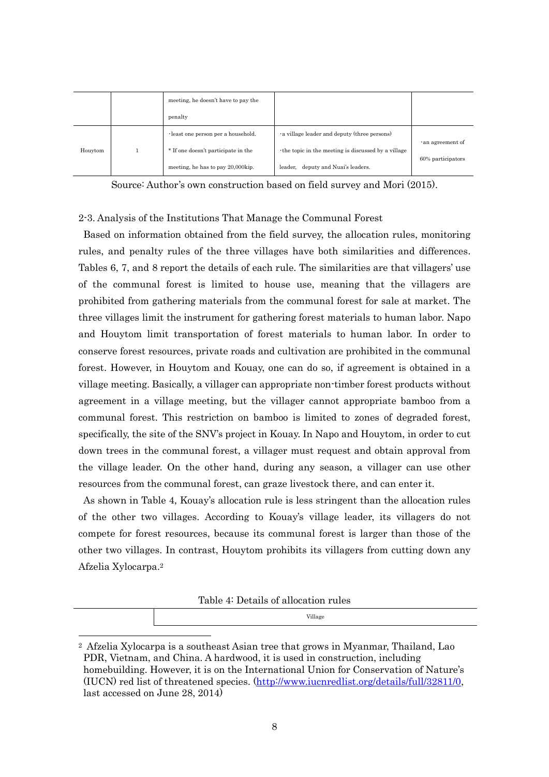|         |                                   | meeting, he doesn't have to pay the       |                                                     |                         |  |
|---------|-----------------------------------|-------------------------------------------|-----------------------------------------------------|-------------------------|--|
|         |                                   | penalty                                   |                                                     |                         |  |
| Houytom |                                   | $\cdot$ least one person per a household. | a village leader and deputy (three persons)         | $\cdot$ an agreement of |  |
|         |                                   | * If one doesn't participate in the       | the topic in the meeting is discussed by a village. |                         |  |
|         | meeting, he has to pay 20,000kip. |                                           | deputy and Nuai's leaders.<br>leader.               | 60% participators       |  |

Source: Author's own construction based on field survey and Mori (2015).

## 2-3. Analysis of the Institutions That Manage the Communal Forest

Based on information obtained from the field survey, the allocation rules, monitoring rules, and penalty rules of the three villages have both similarities and differences. Tables 6, 7, and 8 report the details of each rule. The similarities are that villagers' use of the communal forest is limited to house use, meaning that the villagers are prohibited from gathering materials from the communal forest for sale at market. The three villages limit the instrument for gathering forest materials to human labor. Napo and Houytom limit transportation of forest materials to human labor. In order to conserve forest resources, private roads and cultivation are prohibited in the communal forest. However, in Houytom and Kouay, one can do so, if agreement is obtained in a village meeting. Basically, a villager can appropriate non-timber forest products without agreement in a village meeting, but the villager cannot appropriate bamboo from a communal forest. This restriction on bamboo is limited to zones of degraded forest, specifically, the site of the SNV's project in Kouay. In Napo and Houytom, in order to cut down trees in the communal forest, a villager must request and obtain approval from the village leader. On the other hand, during any season, a villager can use other resources from the communal forest, can graze livestock there, and can enter it.

As shown in Table 4, Kouay's allocation rule is less stringent than the allocation rules of the other two villages. According to Kouay's village leader, its villagers do not compete for forest resources, because its communal forest is larger than those of the other two villages. In contrast, Houytom prohibits its villagers from cutting down any Afzelia Xylocarpa. 2

Table 4: Details of allocation rules

Village

-

<sup>2</sup> Afzelia Xylocarpa is a southeast Asian tree that grows in Myanmar, Thailand, Lao PDR, Vietnam, and China. A hardwood, it is used in construction, including homebuilding. However, it is on the International Union for Conservation of Nature's (IUCN) red list of threatened species. [\(http://www.iucnredlist.org/details/full/32811/0,](http://www.iucnredlist.org/details/full/32811/0) last accessed on June 28, 2014)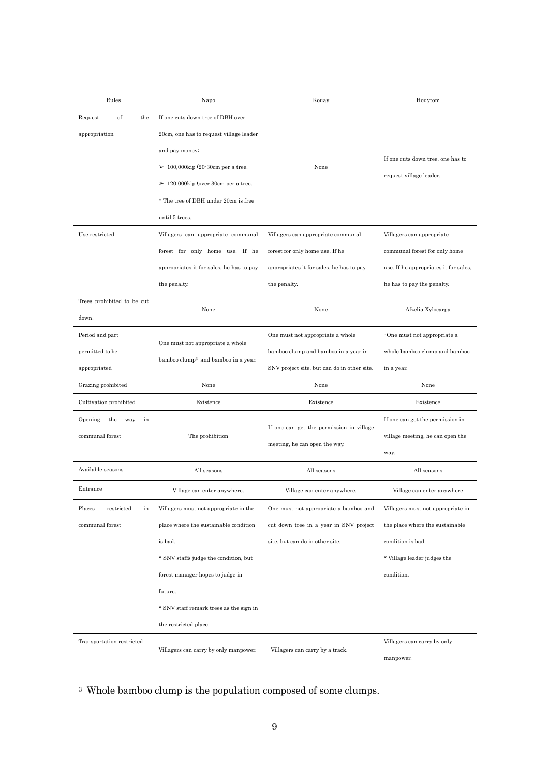| Rules                                              | Napo                                                                                                                                                                                                                                                  | Kouay                                                                                                                             | Houytom                                                                                                                                |
|----------------------------------------------------|-------------------------------------------------------------------------------------------------------------------------------------------------------------------------------------------------------------------------------------------------------|-----------------------------------------------------------------------------------------------------------------------------------|----------------------------------------------------------------------------------------------------------------------------------------|
| Request<br>of<br>the<br>appropriation              | If one cuts down tree of DBH over<br>20cm, one has to request village leader                                                                                                                                                                          |                                                                                                                                   |                                                                                                                                        |
|                                                    | and pay money;<br>$\geq 100,000$ kip (20-30cm per a tree.<br>$\geq 120,000$ kip (over 30cm per a tree.<br>* The tree of DBH under 20cm is free<br>until 5 trees.                                                                                      | None                                                                                                                              | If one cuts down tree, one has to<br>request village leader.                                                                           |
| Use restricted                                     | Villagers can appropriate communal<br>forest for only home use. If he<br>appropriates it for sales, he has to pay<br>the penalty.                                                                                                                     | Villagers can appropriate communal<br>forest for only home use. If he<br>appropriates it for sales, he has to pay<br>the penalty. | Villagers can appropriate<br>communal forest for only home<br>use. If he appropriates it for sales,<br>he has to pay the penalty.      |
| Trees prohibited to be cut<br>down.                | None                                                                                                                                                                                                                                                  | None                                                                                                                              | Afzelia Xylocarpa                                                                                                                      |
| Period and part<br>permitted to be<br>appropriated | One must not appropriate a whole<br>bamboo clump <sup>3</sup> and bamboo in a year.                                                                                                                                                                   | One must not appropriate a whole<br>bamboo clump and bamboo in a year in<br>SNV project site, but can do in other site.           | $\cdot$ One must not appropriate a<br>whole bamboo clump and bamboo<br>in a year.                                                      |
| Grazing prohibited<br>None                         |                                                                                                                                                                                                                                                       | None                                                                                                                              | None                                                                                                                                   |
| Cultivation prohibited                             | Existence                                                                                                                                                                                                                                             | Existence                                                                                                                         | Existence                                                                                                                              |
| Opening<br>the<br>way<br>in<br>communal forest     | The prohibition                                                                                                                                                                                                                                       | If one can get the permission in village<br>meeting, he can open the way.                                                         | If one can get the permission in<br>village meeting, he can open the<br>way.                                                           |
| Available seasons                                  | All seasons                                                                                                                                                                                                                                           | All seasons                                                                                                                       | All seasons                                                                                                                            |
| Entrance                                           | Village can enter anywhere.                                                                                                                                                                                                                           | Village can enter anywhere.                                                                                                       | Village can enter anywhere                                                                                                             |
| Places<br>restricted<br>in<br>communal forest      | Villagers must not appropriate in the<br>place where the sustainable condition<br>is bad.<br>* SNV staffs judge the condition, but<br>forest manager hopes to judge in<br>future.<br>* SNV staff remark trees as the sign in<br>the restricted place. | One must not appropriate a bamboo and<br>cut down tree in a year in SNV project<br>site, but can do in other site.                | Villagers must not appropriate in<br>the place where the sustainable<br>condition is bad.<br>* Village leader judges the<br>condition. |
| Transportation restricted                          | Villagers can carry by only manpower.                                                                                                                                                                                                                 | Villagers can carry by a track.                                                                                                   | Villagers can carry by only<br>manpower.                                                                                               |

<sup>3</sup> Whole bamboo clump is the population composed of some clumps.

-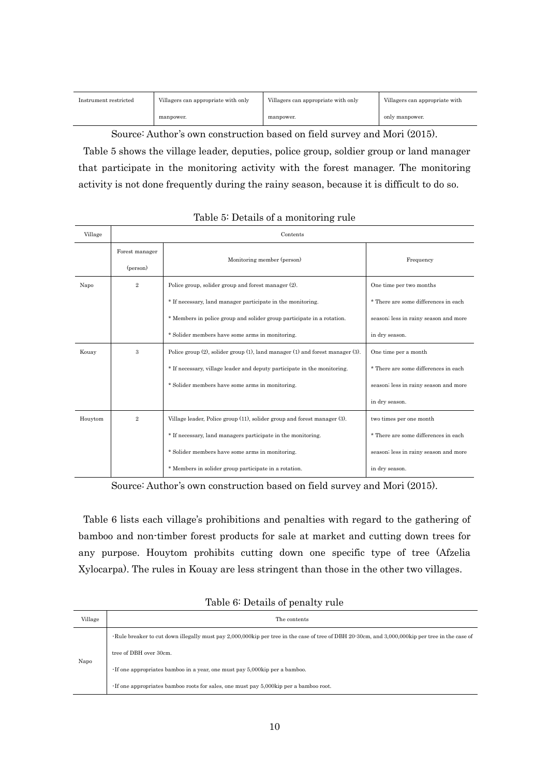| Instrument restricted | Villagers can appropriate with only | Villagers can appropriate with only | Villagers can appropriate with |
|-----------------------|-------------------------------------|-------------------------------------|--------------------------------|
|                       | manpower.                           | manpower.                           | only manpower.                 |

Source: Author's own construction based on field survey and Mori (2015).

Table 5 shows the village leader, deputies, police group, soldier group or land manager that participate in the monitoring activity with the forest manager. The monitoring activity is not done frequently during the rainy season, because it is difficult to do so.

| Village | Contents                   |                                                                               |                                       |  |  |
|---------|----------------------------|-------------------------------------------------------------------------------|---------------------------------------|--|--|
|         | Forest manager<br>(person) | Monitoring member (person)                                                    | Frequency                             |  |  |
| Napo    | $\overline{2}$             | Police group, solider group and forest manager (2).                           | One time per two months               |  |  |
|         |                            | * If necessary, land manager participate in the monitoring.                   | * There are some differences in each  |  |  |
|         |                            | * Members in police group and solider group participate in a rotation.        | season; less in rainy season and more |  |  |
|         |                            | * Solider members have some arms in monitoring.                               | in dry season.                        |  |  |
| Kouay   | 3                          | Police group (2), solider group (1), land manager (1) and forest manager (3). | One time per a month                  |  |  |
|         |                            | * If necessary, village leader and deputy participate in the monitoring.      | * There are some differences in each  |  |  |
|         |                            | * Solider members have some arms in monitoring.                               | season; less in rainy season and more |  |  |
|         |                            |                                                                               | in dry season.                        |  |  |
| Houytom | $\overline{2}$             | Village leader, Police group (11), solider group and forest manager (3).      | two times per one month               |  |  |
|         |                            | * If necessary, land managers participate in the monitoring.                  | * There are some differences in each  |  |  |
|         |                            | * Solider members have some arms in monitoring.                               | season; less in rainy season and more |  |  |
|         |                            | * Members in solider group participate in a rotation.                         | in dry season.                        |  |  |

#### Table 5: Details of a monitoring rule

Source: Author's own construction based on field survey and Mori (2015).

Table 6 lists each village's prohibitions and penalties with regard to the gathering of bamboo and non-timber forest products for sale at market and cutting down trees for any purpose. Houytom prohibits cutting down one specific type of tree (Afzelia Xylocarpa). The rules in Kouay are less stringent than those in the other two villages.

| Village | The contents                                                                                                                                   |
|---------|------------------------------------------------------------------------------------------------------------------------------------------------|
| Napo    | Rule breaker to cut down illegally must pay 2,000,000kip per tree in the case of tree of DBH 20-30cm, and 3,000,000kip per tree in the case of |
|         | tree of DBH over 30cm.                                                                                                                         |
|         | · If one appropriates bamboo in a year, one must pay 5,000kip per a bamboo.                                                                    |
|         | $\cdot$ If one appropriates bamboo roots for sales, one must pay 5,000kip per a bamboo root.                                                   |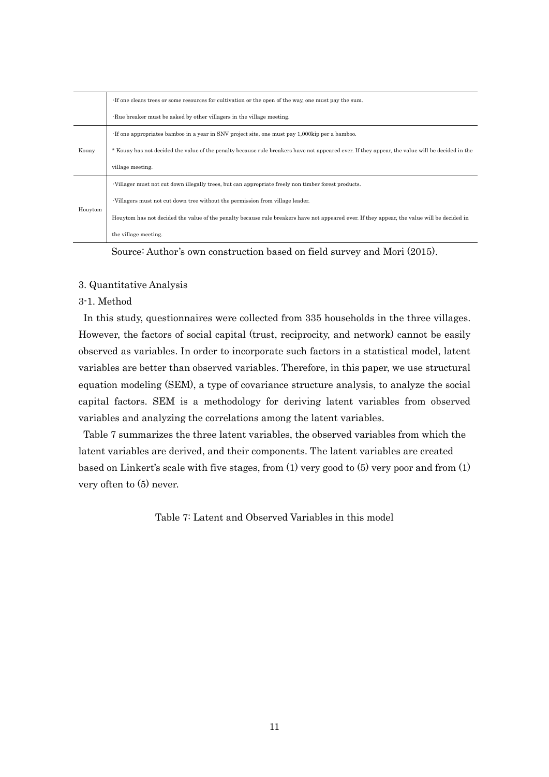|         | If one clears trees or some resources for cultivation or the open of the way, one must pay the sum.                                             |  |  |  |
|---------|-------------------------------------------------------------------------------------------------------------------------------------------------|--|--|--|
|         | $\cdot$ Rue breaker must be asked by other villagers in the village meeting.                                                                    |  |  |  |
|         | If one appropriates bamboo in a year in SNV project site, one must pay 1,000kip per a bamboo.                                                   |  |  |  |
| Kouay   | * Kouay has not decided the value of the penalty because rule breakers have not appeared ever. If they appear, the value will be decided in the |  |  |  |
|         | village meeting.                                                                                                                                |  |  |  |
| Houytom | · Villager must not cut down illegally trees, but can appropriate freely non timber forest products.                                            |  |  |  |
|         | · Villagers must not cut down tree without the permission from village leader.                                                                  |  |  |  |
|         | Houytom has not decided the value of the penalty because rule breakers have not appeared ever. If they appear, the value will be decided in     |  |  |  |
|         | the village meeting.                                                                                                                            |  |  |  |

Source: Author's own construction based on field survey and Mori (2015).

## 3. Quantitative Analysis

# 3-1. Method

In this study, questionnaires were collected from 335 households in the three villages. However, the factors of social capital (trust, reciprocity, and network) cannot be easily observed as variables. In order to incorporate such factors in a statistical model, latent variables are better than observed variables. Therefore, in this paper, we use structural equation modeling (SEM), a type of covariance structure analysis, to analyze the social capital factors. SEM is a methodology for deriving latent variables from observed variables and analyzing the correlations among the latent variables.

Table 7 summarizes the three latent variables, the observed variables from which the latent variables are derived, and their components. The latent variables are created based on Linkert's scale with five stages, from (1) very good to (5) very poor and from (1) very often to (5) never.

Table 7: Latent and Observed Variables in this model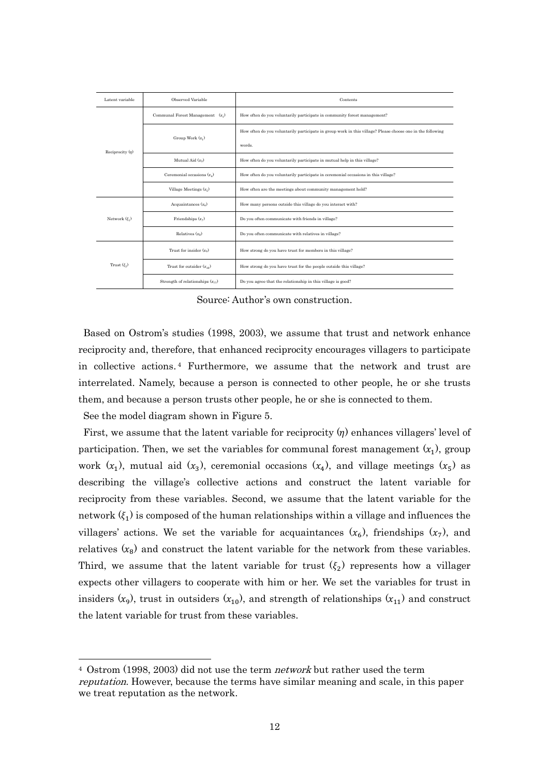| Latent variable      | Observed Variable                    | Contents                                                                                                   |
|----------------------|--------------------------------------|------------------------------------------------------------------------------------------------------------|
|                      | Communal Forest Management $(x_1)$   | How often do you voluntarily participate in community forest management?                                   |
|                      | Group Work $(x_1)$                   | How often do you voluntarily participate in group work in this village? Please choose one in the following |
| Reciprocity $(\eta)$ |                                      | words                                                                                                      |
|                      | Mutual Aid $(x_2)$                   | How often do you voluntarily participate in mutual help in this village?                                   |
|                      | Ceremonial occasions $(x_4)$         | How often do you voluntarily participate in ceremonial occasions in this village?                          |
|                      | Village Meetings $(x_c)$             | How often are the meetings about community management held?                                                |
|                      | Acquaintances $(x_6)$                | How many persons outside this village do you interact with?                                                |
| Network $(\xi_1)$    | Friendships $(x_7)$                  | Do you often communicate with friends in village?                                                          |
|                      | Relatives $(x_o)$                    | Do you often communicate with relatives in village?                                                        |
| Trust $(\xi_2)$      | Trust for insider $(x_q)$            | How strong do you have trust for members in this village?                                                  |
|                      | Trust for outsider $(x_{10})$        | How strong do you have trust for the people outside this village?                                          |
|                      | Strength of relationships $(x_{11})$ | Do you agree that the relationship in this village is good?                                                |

Source: Author's own construction.

Based on Ostrom's studies (1998, 2003), we assume that trust and network enhance reciprocity and, therefore, that enhanced reciprocity encourages villagers to participate in collective actions. <sup>4</sup> Furthermore, we assume that the network and trust are interrelated. Namely, because a person is connected to other people, he or she trusts them, and because a person trusts other people, he or she is connected to them.

See the model diagram shown in Figure 5.

-

First, we assume that the latent variable for reciprocity  $(\eta)$  enhances villagers' level of participation. Then, we set the variables for communal forest management  $(x_1)$ , group work  $(x_1)$ , mutual aid  $(x_3)$ , ceremonial occasions  $(x_4)$ , and village meetings  $(x_5)$  as describing the village's collective actions and construct the latent variable for reciprocity from these variables. Second, we assume that the latent variable for the network  $(\xi_1)$  is composed of the human relationships within a village and influences the villagers' actions. We set the variable for acquaintances  $(x_6)$ , friendships  $(x_7)$ , and relatives  $(x_8)$  and construct the latent variable for the network from these variables. Third, we assume that the latent variable for trust  $(\xi_2)$  represents how a villager expects other villagers to cooperate with him or her. We set the variables for trust in insiders  $(x_9)$ , trust in outsiders  $(x_{10})$ , and strength of relationships  $(x_{11})$  and construct the latent variable for trust from these variables.

<sup>4</sup> Ostrom (1998, 2003) did not use the term network but rather used the term reputation. However, because the terms have similar meaning and scale, in this paper we treat reputation as the network.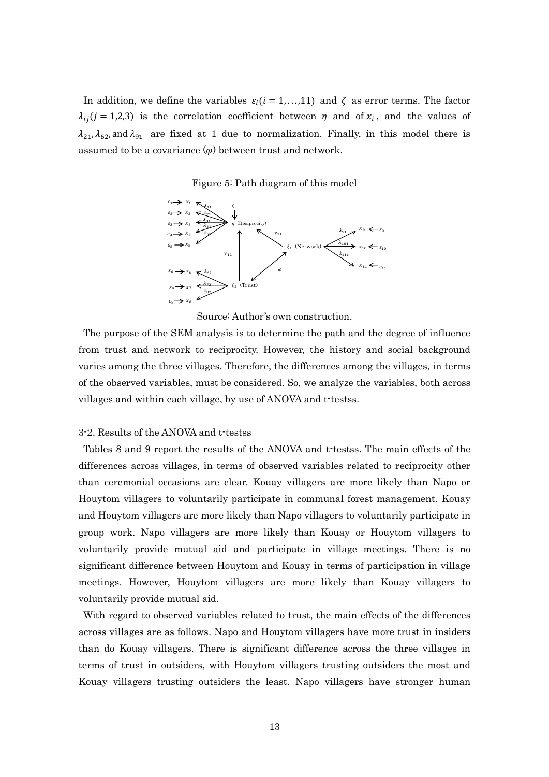In addition, we define the variables  $\varepsilon_i$  (i = 1,...,11) and  $\zeta$  as error terms. The factor  $\lambda_{ii}$  (*j* = 1,2,3) is the correlation coefficient between  $\eta$  and of  $x_i$ , and the values of  $\lambda_{21}, \lambda_{62}$ , and  $\lambda_{91}$  are fixed at 1 due to normalization. Finally, in this model there is assumed to be a covariance  $(\varphi)$  between trust and network.

Figure 5: Path diagram of this model



Source: Author's own construction.

The purpose of the SEM analysis is to determine the path and the degree of influence from trust and network to reciprocity. However, the history and social background varies among the three villages. Therefore, the differences among the villages, in terms of the observed variables, must be considered. So, we analyze the variables, both across villages and within each village, by use of ANOVA and t-testss.

#### 3-2. Results of the ANOVA and t-testss

Tables 8 and 9 report the results of the ANOVA and t-testss. The main effects of the differences across villages, in terms of observed variables related to reciprocity other than ceremonial occasions are clear. Kouay villagers are more likely than Napo or Houytom villagers to voluntarily participate in communal forest management. Kouay and Houytom villagers are more likely than Napo villagers to voluntarily participate in group work. Napo villagers are more likely than Kouay or Houytom villagers to voluntarily provide mutual aid and participate in village meetings. There is no significant difference between Houytom and Kouay in terms of participation in village meetings. However, Houytom villagers are more likely than Kouay villagers to voluntarily provide mutual aid.

With regard to observed variables related to trust, the main effects of the differences across villages are as follows. Napo and Houytom villagers have more trust in insiders than do Kouay villagers. There is significant difference across the three villages in terms of trust in outsiders, with Houytom villagers trusting outsiders the most and Kouay villagers trusting outsiders the least. Napo villagers have stronger human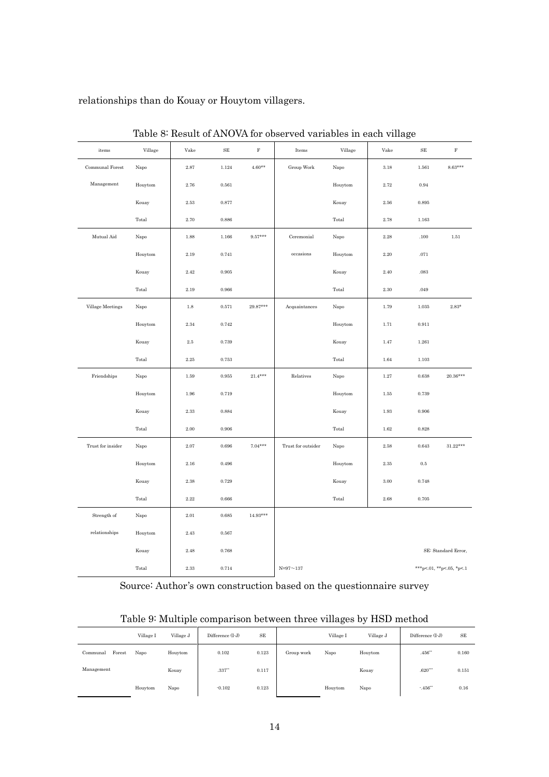relationships than do Kouay or Houytom villagers.

| items             | Village | Vake     | $\rm SE$    | $\mathbf F$ | Items              | Village | Vake     | $\rm SE$  | $\mathbf F$               |
|-------------------|---------|----------|-------------|-------------|--------------------|---------|----------|-----------|---------------------------|
| Communal Forest   | Napo    | $2.87\,$ | 1.124       | $4.60**$    | Group Work         | Napo    | $3.18\,$ | 1.561     | $8.63***$                 |
| Management        | Houytom | $2.76\,$ | 0.561       |             |                    | Houytom | 2.72     | 0.94      |                           |
|                   | Kouay   | $2.53\,$ | 0.877       |             |                    | Kouay   | $2.56\,$ | 0.895     |                           |
|                   | Total   | $2.70\,$ | $\,0.886\,$ |             |                    | Total   | $2.78\,$ | 1.163     |                           |
| Mutual Aid        | Napo    | 1.88     | $1.166\,$   | $9.57***$   | Ceremonial         | Napo    | $2.28\,$ | .100      | 1.51                      |
|                   | Houytom | $2.19\,$ | 0.741       |             | occasions          | Houytom | $2.20\,$ | .071      |                           |
|                   | Kouay   | $2.42\,$ | $\rm 0.905$ |             |                    | Kouay   | $2.40\,$ | $.083\,$  |                           |
|                   | Total   | $2.19\,$ | $\,0.966\,$ |             |                    | Total   | $2.30\,$ | .049      |                           |
| Village Meetings  | Napo    | $1.8\,$  | 0.571       | $29.87***$  | Acquaintances      | Napo    | 1.79     | 1.035     | $2.83*$                   |
|                   | Houytom | 2.34     | 0.742       |             |                    | Houytom | 1.71     | 0.911     |                           |
|                   | Kouay   | $2.5\,$  | 0.739       |             |                    | Kouay   | $1.47\,$ | 1.261     |                           |
|                   | Total   | $2.25\,$ | $\,0.753\,$ |             |                    | Total   | 1.64     | $1.103\,$ |                           |
| Friendships       | Napo    | 1.59     | 0.955       | $21.4***$   | Relatives          | Napo    | 1.27     | 0.638     | $20.36***$                |
|                   | Houytom | $1.96\,$ | 0.719       |             |                    | Houytom | $1.55\,$ | 0.739     |                           |
|                   | Kouay   | 2.33     | 0.884       |             |                    | Kouay   | $1.93\,$ | 0.906     |                           |
|                   | Total   | $2.00\,$ | $\,0.906\,$ |             |                    | Total   | $1.62\,$ | 0.828     |                           |
| Trust for insider | Napo    | $2.07\,$ | 0.696       | $7.04***$   | Trust for outsider | Napo    | $2.58\,$ | 0.643     | $31.22^{\star\star\star}$ |
|                   | Houytom | 2.16     | 0.496       |             |                    | Houytom | $2.35\,$ | $0.5\,$   |                           |
|                   | Kouay   | 2.38     | 0.729       |             |                    | Kouay   | 3.00     | 0.748     |                           |
|                   | Total   | $2.22\,$ | $\,0.666\,$ |             |                    | Total   | $2.68\,$ | 0.705     |                           |
| Strength of       | Napo    | $2.01\,$ | 0.685       | $14.93***$  |                    |         |          |           |                           |
| relationships     | Houytom | 2.43     | 0.567       |             |                    |         |          |           |                           |
|                   | Kouay   | 2.48     | 0.768       |             |                    |         |          |           | SE: Standard Error,       |
|                   | Total   | $2.33\,$ | 0.714       |             | $N = 97 - 137$     |         |          |           | ***p<.01, **p<.05, *p<.1  |

Table 8: Result of ANOVA for observed variables in each village

Source: Author's own construction based on the questionnaire survey

|  | Table 9: Multiple comparison between three villages by HSD method |  |  |  |
|--|-------------------------------------------------------------------|--|--|--|
|  |                                                                   |  |  |  |

|                    | Village I | Village J | Difference (I-J)    | SE    |            | Village I | Village J | Difference (I-J) | SE    |
|--------------------|-----------|-----------|---------------------|-------|------------|-----------|-----------|------------------|-------|
| Forest<br>Communal | Napo      | Houytom   | 0.102               | 0.123 | Group work | Napo      | Houytom   | .456"            | 0.160 |
| Management         |           | Kouay     | $.337^{\circ\circ}$ | 0.117 |            |           | Kouay     | $.620***$        | 0.151 |
|                    | Houytom   | Napo      | $-0.102$            | 0.123 |            | Houytom   | Napo      | $-456$ **        | 0.16  |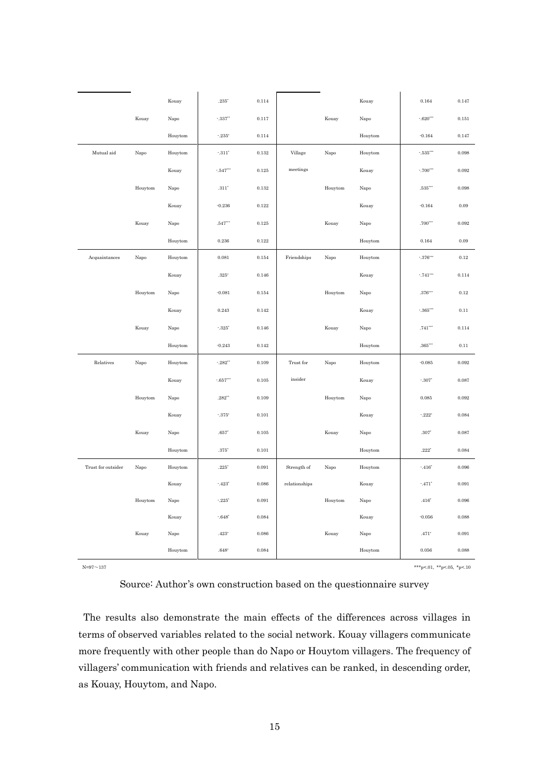|                    |         | Kouay         | $.235*$                | 0.114       |               |               | Kouay   | 0.164                     | 0.147       |
|--------------------|---------|---------------|------------------------|-------------|---------------|---------------|---------|---------------------------|-------------|
|                    | Kouay   | Napo          | $-337$                 | 0.117       |               | Kouay         | Napo    | $-620$ ***                | $0.151\,$   |
|                    |         | Houytom       | $-235^*$               | 0.114       |               |               | Houytom | $-0.164$                  | 0.147       |
| Mutual aid         | Napo    | Houytom       | $^\circ\!.311^\circ$   | $\rm 0.132$ | Village       | Napo          | Houytom | $^\circ.535^{\circ\circ}$ | 0.098       |
|                    |         | Kouay         | $-547$                 | $\rm 0.125$ | meetings      |               | Kouay   | $-700^{***}$              | 0.092       |
|                    | Houytom | Napo          | $.311$ <sup>*</sup>    | $\rm 0.132$ |               | Houytom       | Napo    | $.535***$                 | 0.098       |
|                    |         | Kouay         | $-0.236$               | $\rm 0.122$ |               |               | Kouay   | $-0.164$                  | $\rm 0.09$  |
|                    | Kouay   | Napo          | $.547^{\circ\circ}$    | $\rm 0.125$ |               | Kouay         | Napo    | $.700***$                 | 0.092       |
|                    |         | Houytom       | $\,0.236\,$            | 0.122       |               |               | Houytom | 0.164                     | 0.09        |
| Acquaintances      | Napo    | Houytom       | 0.081                  | $\rm 0.154$ | Friendships   | Napo          | Houytom | $\cdot .376\cdots$        | 0.12        |
|                    |         | Kouay         | $.325^{\circ}$         | $\rm 0.146$ |               |               | Kouay   | $\cdot .741\cdots$        | 0.114       |
|                    | Houytom | Napo          | $-0.081$               | $\rm 0.154$ |               | Houytom       | Napo    | $.376***$                 | 0.12        |
|                    |         | Kouay         | 0.243                  | 0.142       |               |               | Kouay   | $\cdot .365\cdots$        | 0.11        |
|                    | Kouay   | Napo          | $^{\circ}.325^{\circ}$ | $\rm 0.146$ |               | Kouay         | Napo    | $.741***$                 | 0.114       |
|                    |         | Houytom       | $-0.243$               | $\rm 0.142$ |               |               | Houytom | $.365***$                 | 0.11        |
| Relatives          | Napo    | Houytom       | $-282$ <sup>**</sup>   | 0.109       | Trust for     | $_{\rm Napo}$ | Houytom | $-0.085$                  | 0.092       |
|                    |         | Kouay         | $^\circ.657^{***}$     | $\rm 0.105$ | insider       |               | Kouay   | $-307$ <sup>*</sup>       | 0.087       |
|                    | Houytom | $_{\rm Napo}$ | $.282^{**}$            | 0.109       |               | Houytom       | Napo    | 0.085                     | 0.092       |
|                    |         | Kouay         | $-375^*$               | 0.101       |               |               | Kouay   | $-222^{\circ}$            | 0.084       |
|                    | Kouay   | $_{\rm Napo}$ | $.657^{\circ}$         | $\rm 0.105$ |               | Kouay         | Napo    | $.307*$                   | $\,0.087\,$ |
|                    |         | Houytom       | $.375*$                | 0.101       |               |               | Houytom | $.222^\circ$              | 0.084       |
| Trust for outsider | Napo    | Houytom       | $.225^\circ$           | 0.091       | Strength of   | Napo          | Houytom | $-416"$                   | 0.096       |
|                    |         | Kouay         | $-423$ <sup>*</sup>    | 0.086       | relationships |               | Kouay   | $-.471*$                  | 0.091       |
|                    | Houytom | Napo          | $-225$                 | $\,0.091\,$ |               | Houytom       | Napo    | $.416^\circ$              | 0.096       |
|                    |         | Kouay         | $-648^*$               | 0.084       |               |               | Kouay   | $-0.056$                  | $\,0.088\,$ |
|                    | Kouay   | Napo          | $.423^\circ$           | $\,0.086\,$ |               | Kouay         | Napo    | $.471$ <sup>*</sup>       | 0.091       |
|                    |         | Houytom       | $.648^{\circ}$         | 0.084       |               |               | Houytom | 0.056                     | $\,0.088\,$ |

N=97~137 \*\*\*p<.01, \*\*p<.01, \*\*p<.01, \*\*p<.01, \*\*p<.01, \*\*p<.01, \*\*p<.05, \*p<.10

## Source: Author's own construction based on the questionnaire survey

The results also demonstrate the main effects of the differences across villages in terms of observed variables related to the social network. Kouay villagers communicate more frequently with other people than do Napo or Houytom villagers. The frequency of villagers' communication with friends and relatives can be ranked, in descending order, as Kouay, Houytom, and Napo.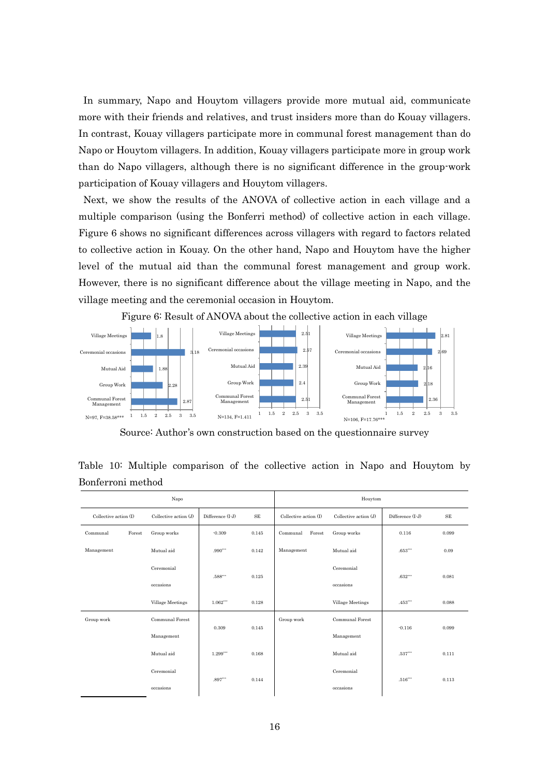In summary, Napo and Houytom villagers provide more mutual aid, communicate more with their friends and relatives, and trust insiders more than do Kouay villagers. In contrast, Kouay villagers participate more in communal forest management than do Napo or Houytom villagers. In addition, Kouay villagers participate more in group work than do Napo villagers, although there is no significant difference in the group-work participation of Kouay villagers and Houytom villagers.

Next, we show the results of the ANOVA of collective action in each village and a multiple comparison (using the Bonferri method) of collective action in each village. Figure 6 shows no significant differences across villagers with regard to factors related to collective action in Kouay. On the other hand, Napo and Houytom have the higher level of the mutual aid than the communal forest management and group work. However, there is no significant difference about the village meeting in Napo, and the village meeting and the ceremonial occasion in Houytom.

Figure 6: Result of ANOVA about the collective action in each village



Source: Author's own construction based on the questionnaire survey

|                       |        | Napo                   |                          |                                   |                    | Houytom               |                  |       |
|-----------------------|--------|------------------------|--------------------------|-----------------------------------|--------------------|-----------------------|------------------|-------|
| Collective action (I) |        | Collective action (J)  | Difference (I-J)         | $\rm SE$<br>Collective action (I) |                    | Collective action (J) | Difference (I-J) | SE    |
| Communal              | Forest | Group works            | $-0.309$                 | 0.145                             | Forest<br>Communal | Group works           | 0.116            | 0.099 |
| Management            |        | Mutual aid             | $.990***$                | 0.142                             | Management         | Mutual aid            | $.653***$        | 0.09  |
|                       |        | Ceremonial             |                          |                                   |                    | Ceremonial            |                  |       |
|                       |        | occasions              | $.588^{\circ\circ\circ}$ | 0.125                             |                    | occasions             | $.632***$        | 0.081 |
|                       |        | Village Meetings       | $1.062***$               | 0.128                             |                    | Village Meetings      | .453             | 0.088 |
| Group work            |        | <b>Communal Forest</b> |                          |                                   | Group work         | Communal Forest       |                  |       |
|                       |        | Management             | 0.309                    | 0.145                             |                    | Management            | $-0.116$         | 0.099 |
|                       |        | Mutual aid             | $1.299***$               | 0.168                             |                    | Mutual aid            | $.537***$        | 0.111 |
|                       |        | Ceremonial             |                          |                                   |                    | Ceremonial            |                  |       |
|                       |        | occasions              | $.897***$                | 0.144                             |                    | occasions             | $.516***$        | 0.113 |

Table 10: Multiple comparison of the collective action in Napo and Houytom by Bonferroni method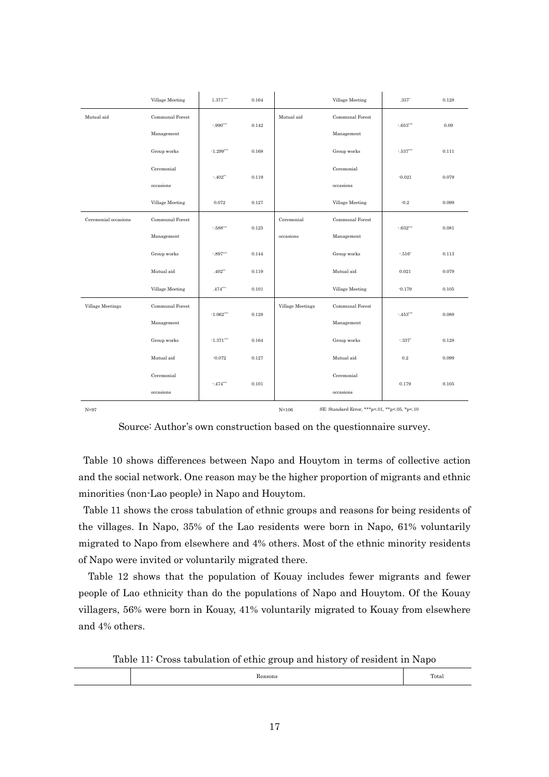|                      | Village Meeting | 1.371                          | 0.164 |                  | Village Meeting        | $.337$ <sup>*</sup>     | 0.128 |
|----------------------|-----------------|--------------------------------|-------|------------------|------------------------|-------------------------|-------|
| Mutual aid           | Communal Forest |                                |       | Mutual aid       | <b>Communal Forest</b> |                         |       |
|                      | Management      | $-0.990***$                    | 0.142 |                  | Management             | $-653$ ***              | 0.09  |
|                      | Group works     | $\cdot 1.299^{\ast \ast \ast}$ | 0.168 |                  | Group works            | $-0.537***$             | 0.111 |
|                      | Ceremonial      | $-402$ **                      | 0.119 |                  | Ceremonial             | $-0.021$                | 0.079 |
|                      | occasions       |                                |       |                  | occasions              |                         |       |
|                      | Village Meeting | 0.072                          | 0.127 |                  | Village Meeting        | $-0.2$                  | 0.099 |
| Ceremonial occasions | Communal Forest | $-588$ ***                     | 0.125 | Ceremonial       | Communal Forest        | $\cdot .632\sp{^{***}}$ | 0.081 |
|                      | Management      |                                |       | occasions        | Management             |                         |       |
|                      | Group works     | $-0.897***$                    | 0.144 |                  | Group works            | $-516$                  | 0.113 |
|                      | Mutual aid      | $.402**$                       | 0.119 |                  | Mutual aid             | 0.021                   | 0.079 |
|                      | Village Meeting | $.474***$                      | 0.101 |                  | Village Meeting        | $-0.179$                | 0.105 |
| Village Meetings     | Communal Forest | $\cdot 1.062^{***}$            | 0.128 | Village Meetings | Communal Forest        | $-453$                  | 0.088 |
|                      | Management      |                                |       |                  | Management             |                         |       |
|                      | Group works     | $-1.371***$                    | 0.164 |                  | Group works            | $-337$ <sup>*</sup>     | 0.128 |
|                      | Mutual aid      | $-0.072$                       | 0.127 |                  | Mutual aid             | 0.2                     | 0.099 |
|                      | Ceremonial      | $-474$                         | 0.101 |                  | Ceremonial             | 0.179                   | 0.105 |
|                      | occasions       |                                |       |                  | occasions              |                         |       |

N=106 SE: Standard Error, \*\*\*p<.01, \*\*p<.06, \*p<.10

Source: Author's own construction based on the questionnaire survey.

Table 10 shows differences between Napo and Houytom in terms of collective action and the social network. One reason may be the higher proportion of migrants and ethnic minorities (non-Lao people) in Napo and Houytom.

Table 11 shows the cross tabulation of ethnic groups and reasons for being residents of the villages. In Napo, 35% of the Lao residents were born in Napo, 61% voluntarily migrated to Napo from elsewhere and 4% others. Most of the ethnic minority residents of Napo were invited or voluntarily migrated there.

Table 12 shows that the population of Kouay includes fewer migrants and fewer people of Lao ethnicity than do the populations of Napo and Houytom. Of the Kouay villagers, 56% were born in Kouay, 41% voluntarily migrated to Kouay from elsewhere and 4% others.

Table 11: Cross tabulation of ethic group and history of resident in Napo

| ason. | m<br>Total |
|-------|------------|
|       |            |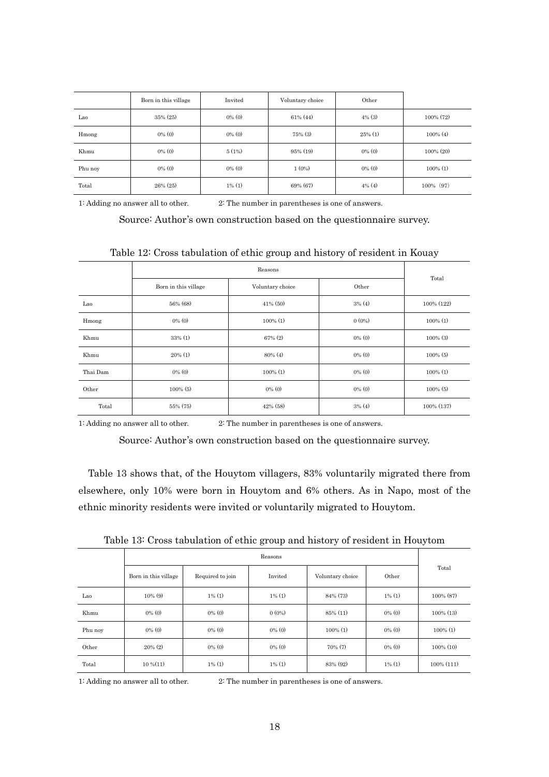|         | Born in this village | Invited   | Voluntary choice | Other      |              |
|---------|----------------------|-----------|------------------|------------|--------------|
| Lao     | 35% (25)             | $0\%$ (0) | $61\%$ (44)      | $4\%$ (3)  | 100% (72)    |
| Hmong   | $0\%$ (0)            | $0\%$ (0) | $75\%$ (3)       | $25\%$ (1) | $100\%$ (4)  |
| Khmu    | $0\%$ (0)            | 5(1%)     | $95\%$ (19)      | $0\%$ (0)  | $100\% (20)$ |
| Phu noy | $0\%$ (0)            | $0\%$ (0) | 1(0%)            | $0\%$ (0)  | $100\%$ (1)  |
| Total   | $26\%$ (25)          | $1\%$ (1) | 69% (67)         | $4\%$ (4)  | 100% (97)    |

1: Adding no answer all to other. 2: The number in [parentheses](http://ejje.weblio.jp/content/parentheses) is one of answers.

Source: Author's own construction based on the questionnaire survey.

|          |                      | Reasons          |           | Total       |  |
|----------|----------------------|------------------|-----------|-------------|--|
|          | Born in this village | Voluntary choice | Other     |             |  |
| Lao      | 56% (68)             | $41\%$ (50)      | $3\%$ (4) | 100% (122)  |  |
| Hmong    | $0\%$ (0)            | $100\%$ (1)      | $0(0\%)$  | $100\%$ (1) |  |
| Khmu     | $33\%$ (1)           | $67\%$ (2)       | $0\%$ (0) | $100\%$ (3) |  |
| Khmu     | $20\%$ (1)           | $80\%$ (4)       | $0\%$ (0) | $100\%$ (5) |  |
| Thai Dam | $0\%$ (0)            | $100\%$ (1)      | $0\%$ (0) | $100\%$ (1) |  |
| Other    | $100\%$ (5)          | $0\%$ (0)        | $0\%$ (0) | $100\%$ (5) |  |
| Total    | 55% (75)             | $42\%$ (58)      | $3\%$ (4) | 100% (137)  |  |

Table 12: Cross tabulation of ethic group and history of resident in Kouay

1: Adding no answer all to other. 2: The number in [parentheses](http://ejje.weblio.jp/content/parentheses) is one of answers.

Source: Author's own construction based on the questionnaire survey.

Table 13 shows that, of the Houytom villagers, 83% voluntarily migrated there from elsewhere, only 10% were born in Houytom and 6% others. As in Napo, most of the ethnic minority residents were invited or voluntarily migrated to Houytom.

|         |                      |                  | Reasons   |                  |           |               |
|---------|----------------------|------------------|-----------|------------------|-----------|---------------|
|         | Born in this village | Required to join | Invited   | Voluntary choice | Other     | Total         |
| Lao     | $10\%$ (9)           | $1\%$ (1)        | $1\%$ (1) | 84% (73)         | $1\%$ (1) | 100% (87)     |
| Khmu    | $0\%$ (0)            | $0\%$ (0)        | $0(0\%)$  | 85% (11)         | $0\%$ (0) | $100\%$ (13)  |
| Phu noy | $0\%$ (0)            | $0\%$ (0)        | $0\%$ (0) | $100\%$ (1)      | $0\%$ (0) | $100\%$ (1)   |
| Other   | $20\%$ (2)           | $0\%$ (0)        | $0\%$ (0) | $70\%$ (7)       | $0\%$ (0) | $100\%$ (10)  |
| Total   | $10\%$ $(11)$        | $1\%$ (1)        | $1\%$ (1) | 83% (92)         | $1\%$ (1) | $100\%$ (111) |

Table 13: Cross tabulation of ethic group and history of resident in Houytom

1: Adding no answer all to other. 2: The number in [parentheses](http://ejje.weblio.jp/content/parentheses) is one of answers.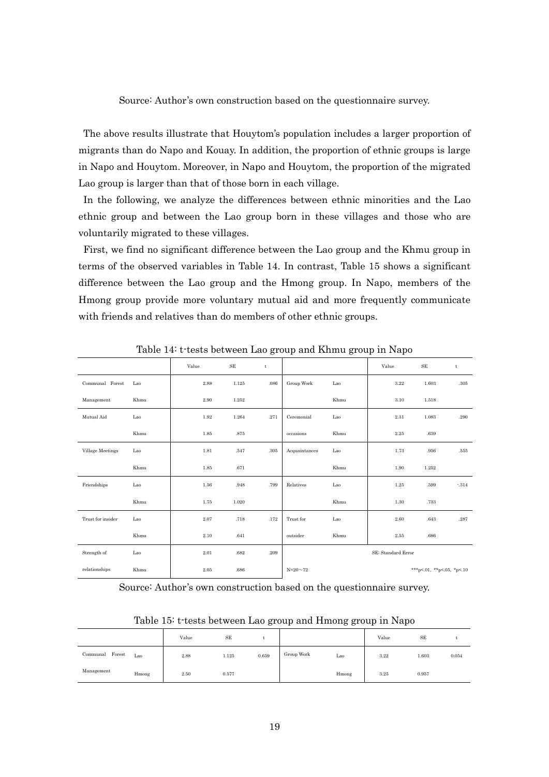Source: Author's own construction based on the questionnaire survey.

The above results illustrate that Houytom's population includes a larger proportion of migrants than do Napo and Kouay. In addition, the proportion of ethnic groups is large in Napo and Houytom. Moreover, in Napo and Houytom, the proportion of the migrated Lao group is larger than that of those born in each village.

In the following, we analyze the differences between ethnic minorities and the Lao ethnic group and between the Lao group born in these villages and those who are voluntarily migrated to these villages.

First, we find no significant difference between the Lao group and the Khmu group in terms of the observed variables in Table 14. In contrast, Table 15 shows a significant difference between the Lao group and the Hmong group. In Napo, members of the Hmong group provide more voluntary mutual aid and more frequently communicate with friends and relatives than do members of other ethnic groups.

|                   |      | Value | $\rm SE$ | $\mathbf t$ |               |      | Value              | $\rm SE$                  | $\mathbf t$ |
|-------------------|------|-------|----------|-------------|---------------|------|--------------------|---------------------------|-------------|
| Communal Forest   | Lao  | 2.88  | 1.125    | .086        | Group Work    | Lao  | 3.22               | 1.603                     | .305        |
| Management        | Khmu | 2.90  | 1.252    |             |               | Khmu | 3.10               | 1.518                     |             |
| Mutual Aid        | Lao  | 1.92  | 1.264    | .271        | Ceremonial    | Lao  | 2.31               | 1.083                     | .290        |
|                   | Khmu | 1.85  | .875     |             | occasions     | Khmu | 2.25               | .639                      |             |
| Village Meetings  | Lao  | 1.81  | .547     | .305        | Acquaintances | Lao  | 1.73               | .956                      | .555        |
|                   | Khmu | 1.85  | .671     |             |               | Khmu | 1.90               | 1.252                     |             |
| Friendships       | Lao  | 1.56  | .948     | .799        | Relatives     | Lao  | 1.25               | .599                      | $-314$      |
|                   | Khmu | 1.75  | 1.020    |             |               | Khmu | 1.30               | .733                      |             |
| Trust for insider | Lao  | 2.07  | .718     | .172        | Trust for     | Lao  | 2.60               | .643                      | .287        |
|                   | Khmu | 2.10  | .641     |             | outsider      | Khmu | 2.55               | .686                      |             |
| Strength of       | Lao  | 2.01  | .682     | .209        |               |      | SE: Standard Error |                           |             |
| relationships     | Khmu | 2.05  | .686     |             | $N = 20 - 72$ |      |                    | ***p<.01, **p<.05, *p<.10 |             |

Table 14: t-tests between Lao group and Khmu group in Napo

Source: Author's own construction based on the questionnaire survey.

| Table 15: t tests between Lao group and Hmong group in Napo |  |  |  |
|-------------------------------------------------------------|--|--|--|
|-------------------------------------------------------------|--|--|--|

|                    |       | Value | SE    |       |            |       | Value | SE    |       |
|--------------------|-------|-------|-------|-------|------------|-------|-------|-------|-------|
| Forest<br>Communal | Lao   | 2.88  | 1.125 | 0.659 | Group Work | Lao   | 3.22  | 1.603 | 0.054 |
| Management         | Hmong | 2.50  | 0.577 |       |            | Hmong | 3.25  | 0.957 |       |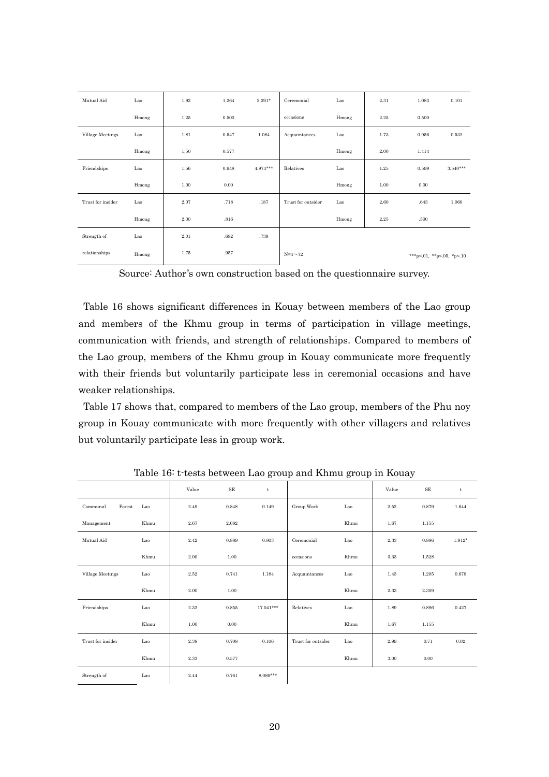| Mutual Aid        | Lao   | 1.92 | 1.264 | $2.291*$   | Ceremonial         | Lao   | 2.31 | 1.083                     | 0.101      |
|-------------------|-------|------|-------|------------|--------------------|-------|------|---------------------------|------------|
|                   | Hmong | 1.25 | 0.500 |            | occasions          | Hmong | 2.25 | 0.500                     |            |
| Village Meetings  | Lao   | 1.81 | 0.547 | 1.084      | Acquaintances      | Lao   | 1.73 | 0.956                     | 0.532      |
|                   | Hmong | 1.50 | 0.577 |            |                    | Hmong | 2.00 | 1.414                     |            |
| Friendships       | Lao   | 1.56 | 0.948 | $4.974***$ | Relatives          | Lao   | 1.25 | 0.599                     | $3.540***$ |
|                   | Hmong | 1.00 | 0.00  |            |                    | Hmong | 1.00 | 0.00                      |            |
| Trust for insider | Lao   | 2.07 | .718  | .187       | Trust for outsider | Lao   | 2.60 | .643                      | 1.060      |
|                   | Hmong | 2.00 | .816  |            |                    | Hmong | 2.25 | .500                      |            |
| Strength of       | Lao   | 2.01 | .682  | .739       |                    |       |      |                           |            |
| relationships     | Hmong | 1.75 | .957  |            | $N=4\sim 72$       |       |      | ***p<.01, **p<.05, *p<.10 |            |

Source: Author's own construction based on the questionnaire survey.

Table 16 shows significant differences in Kouay between members of the Lao group and members of the Khmu group in terms of participation in village meetings, communication with friends, and strength of relationships. Compared to members of the Lao group, members of the Khmu group in Kouay communicate more frequently with their friends but voluntarily participate less in ceremonial occasions and have weaker relationships.

Table 17 shows that, compared to members of the Lao group, members of the Phu noy group in Kouay communicate with more frequently with other villagers and relatives but voluntarily participate less in group work.

|                    |      | Value | $\rm SE$ | t           |                    |      | Value | $\rm SE$ | t        |
|--------------------|------|-------|----------|-------------|--------------------|------|-------|----------|----------|
| Communal<br>Forest | Lao  | 2.49  | 0.848    | 0.149       | Group Work         | Lao  | 2.52  | 0.879    | 1.644    |
| Management         | Khmu | 2.67  | 2.082    |             |                    | Khmu | 1.67  | 1.155    |          |
| Mutual Aid         | Lao  | 2.42  | 0.889    | 0.803       | Ceremonial         | Lao  | 2.33  | 0.886    | $1.912*$ |
|                    | Khmu | 2.00  | 1.00     |             | occasions          | Khmu | 3.33  | 1.528    |          |
| Village Meetings   | Lao  | 2.52  | 0.741    | 1.184       | Acquaintances      | Lao  | 1.43  | 1.205    | 0.678    |
|                    | Khmu | 2.00  | 1.00     |             |                    | Khmu | 2.33  | 2.309    |          |
| Friendships        | Lao  | 2.32  | 0.855    | $17.041***$ | Relatives          | Lao  | 1.89  | 0.896    | 0.427    |
|                    | Khmu | 1.00  | 0.00     |             |                    | Khmu | 1.67  | 1.155    |          |
| Trust for insider  | Lao  | 2.38  | 0.708    | 0.106       | Trust for outsider | Lao  | 2.99  | 0.71     | 0.02     |
|                    | Khmu | 2.33  | 0.577    |             |                    | Khmu | 3.00  | 0.00     |          |
| Strength of        | Lao  | 2.44  | 0.761    | $8.089***$  |                    |      |       |          |          |

Table 16: t-tests between Lao group and Khmu group in Kouay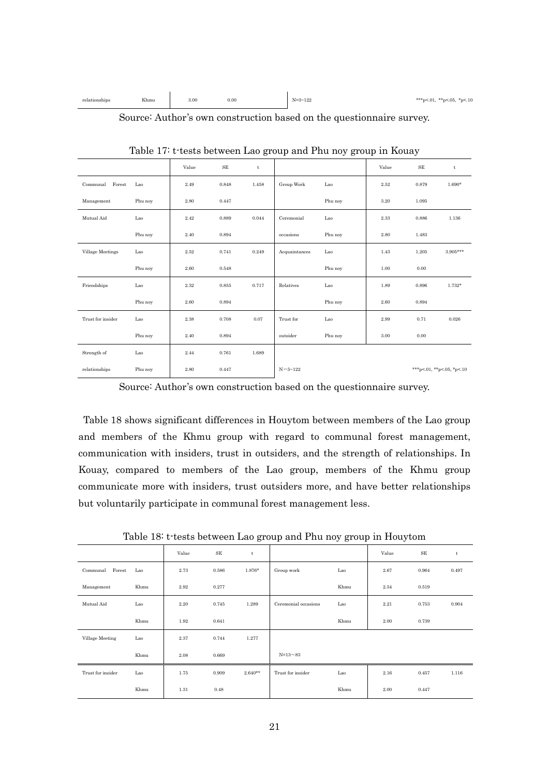| Khmu<br>relationships<br>------- | 3.00 | 0.00 | $N = 3 - 122$ | ***p<.01, **p<.05, *p<.10 |
|----------------------------------|------|------|---------------|---------------------------|
|----------------------------------|------|------|---------------|---------------------------|

Source: Author's own construction based on the questionnaire survey.

|                    |         | Value | $\rm SE$ | t     |               |         | Value | SE    | t                         |
|--------------------|---------|-------|----------|-------|---------------|---------|-------|-------|---------------------------|
| Communal<br>Forest | Lao     | 2.49  | 0.848    | 1.458 | Group Work    | Lao     | 2.52  | 0.879 | $1.690*$                  |
| Management         | Phu noy | 2.80  | 0.447    |       |               | Phu noy | 3.20  | 1.095 |                           |
| Mutual Aid         | Lao     | 2.42  | 0.889    | 0.044 | Ceremonial    | Lao     | 2.33  | 0.886 | 1.136                     |
|                    | Phu noy | 2.40  | 0.894    |       | occasions     | Phu noy | 2.80  | 1.483 |                           |
| Village Meetings   | Lao     | 2.52  | 0.741    | 0.249 | Acquaintances | Lao     | 1.43  | 1.205 | $3.905***$                |
|                    | Phu noy | 2.60  | 0.548    |       |               | Phu noy | 1.00  | 0.00  |                           |
| Friendships        | Lao     | 2.32  | 0.855    | 0.717 | Relatives     | Lao     | 1.89  | 0.896 | $1.732*$                  |
|                    | Phu noy | 2.60  | 0.894    |       |               | Phu noy | 2.60  | 0.894 |                           |
| Trust for insider  | Lao     | 2.38  | 0.708    | 0.07  | Trust for     | Lao     | 2.99  | 0.71  | 0.026                     |
|                    | Phu noy | 2.40  | 0.894    |       | outsider      | Phu noy | 3.00  | 0.00  |                           |
| Strength of        | Lao     | 2.44  | 0.761    | 1.689 |               |         |       |       |                           |
| relationships      | Phu noy | 2.80  | 0.447    |       | $N = 5 - 122$ |         |       |       | ***p<.01, **p<.05, *p<.10 |

Table 17: t-tests between Lao group and Phu noy group in Kouay

Source: Author's own construction based on the questionnaire survey.

Table 18 shows significant differences in Houytom between members of the Lao group and members of the Khmu group with regard to communal forest management, communication with insiders, trust in outsiders, and the strength of relationships. In Kouay, compared to members of the Lao group, members of the Khmu group communicate more with insiders, trust outsiders more, and have better relationships but voluntarily participate in communal forest management less.

Table 18: t-tests between Lao group and Phu noy group in Houytom

|                    |      | Value | $\rm SE$ | t         |                      |      | Value | $\rm SE$ | t     |
|--------------------|------|-------|----------|-----------|----------------------|------|-------|----------|-------|
| Forest<br>Communal | Lao  | 2.73  | 0.586    | $1.876*$  | Group work           | Lao  | 2.67  | 0.964    | 0.497 |
| Management         | Khmu | 2.92  | 0.277    |           |                      | Khmu | 2.54  | 0.519    |       |
| Mutual Aid         | Lao  | 2.20  | 0.745    | 1.289     | Ceremonial occasions | Lao  | 2.21  | 0.753    | 0.904 |
|                    | Khmu | 1.92  | 0.641    |           |                      | Khmu | 2.00  | 0.739    |       |
| Village Meeting    | Lao  | 2.37  | 0.744    | 1.277     |                      |      |       |          |       |
|                    | Khmu | 2.08  | 0.669    |           | $N = 13 - 83$        |      |       |          |       |
| Trust for insider  | Lao  | 1.75  | 0.909    | $2.640**$ | Trust for insider    | Lao  | 2.16  | 0.457    | 1.116 |
|                    | Khmu | 1.31  | 0.48     |           |                      | Khmu | 2.00  | 0.447    |       |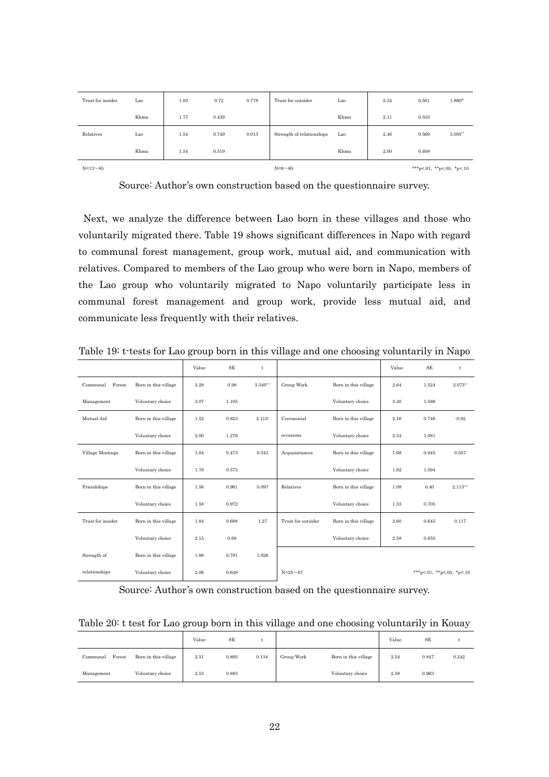| $N = 13 \sim 85$  |      |      |       |       | $N=9\sim85$               |      |      | ***p<.01, **p<.05, *p<.10 |            |
|-------------------|------|------|-------|-------|---------------------------|------|------|---------------------------|------------|
|                   | Khmu | 1.54 | 0.519 |       |                           | Khmu | 2.00 | 0.408                     |            |
| Relatives         | Lao  | 1.54 | 0.749 | 0.013 | Strength of relationships | Lao  | 2.46 | 0.569                     | $3.595$ ** |
|                   | Khmu | 1.77 | 0.439 |       |                           | Khmu | 2.11 | 0.333                     |            |
| Trust for insider | Lao  | 1.93 | 0.72  | 0.778 | Trust for outsider        | Lao  | 2.34 | 0.501                     | $1.860*$   |

Source: Author's own construction based on the questionnaire survey.

Next, we analyze the difference between Lao born in these villages and those who voluntarily migrated there. Table 19 shows significant differences in Napo with regard to communal forest management, group work, mutual aid, and communication with relatives. Compared to members of the Lao group who were born in Napo, members of the Lao group who voluntarily migrated to Napo voluntarily participate less in communal forest management and group work, provide less mutual aid, and communicate less frequently with their relatives.

|                         |                      | Value | <b>SE</b> | $\mathbf t$ |                    |                      | Value | <b>SE</b>                 | t          |
|-------------------------|----------------------|-------|-----------|-------------|--------------------|----------------------|-------|---------------------------|------------|
| Forest<br>Communal      | Born in this village | 2.28  | 0.98      | $3.340***$  | Group Work         | Born in this village | 2.64  | 1.524                     | 2.073"     |
| Management              | Voluntary choice     | 3.07  | 1.105     |             |                    | Voluntary choice     | 3.40  | 1.586                     |            |
| Mutual Aid              | Born in this village | 1.52  | 0.823     | $2.115*$    | Ceremonial         | Born in this village | 2.16  | 0.746                     | $-0.92$    |
|                         | Voluntary choice     | 2.00  | 1.279     |             | occasions          | Voluntary choice     | 2.34  | 1.081                     |            |
| <b>Village Meetings</b> | Born in this village | 1.84  | 0.473     | 0.543       | Acquaintances      | Born in this village | 1.68  | 0.945                     | 0.557      |
|                         | Voluntary choice     | 1.78  | 0.573     |             |                    | Voluntary choice     | 1.82  | 1.094                     |            |
| Friendships             | Born in this village | 1.56  | 0.961     | 0.097       | Relatives          | Born in this village | 1.08  | 0.40                      | $2.113***$ |
|                         | Voluntary choice     | 1.58  | 0.972     |             |                    | Voluntary choice     | 1.33  | 0.705                     |            |
| Trust for insider       | Born in this village | 1.84  | 0.688     | 1.27        | Trust for outsider | Born in this village | 2.60  | 0.645                     | 0.117      |
|                         | Voluntary choice     | 2.15  | 0.68      |             |                    | Voluntary choice     | 2.58  | 0.655                     |            |
| Strength of             | Born in this village | 1.88  | 0.781     | 1.026       |                    |                      |       |                           |            |
| relationships           | Voluntary choice     | 2.06  | 0.649     |             | $N = 25 \sim 67$   |                      |       | ***p<.01, **p<.05, *p<.10 |            |

Table 19: t-tests for Lao group born in this village and one choosing voluntarily in Napo

Source: Author's own construction based on the questionnaire survey.

| Table 20: t test for Lao group born in this village and one choosing voluntarily in Kouay |  |  |  |  |  |  |  |
|-------------------------------------------------------------------------------------------|--|--|--|--|--|--|--|
|                                                                                           |  |  |  |  |  |  |  |

|                                            | Value | SE    |       |            |                      | Value | SE    |       |
|--------------------------------------------|-------|-------|-------|------------|----------------------|-------|-------|-------|
| Forest<br>Born in this village<br>Communal | 2.51  | 0.895 | 0.134 | Group Work | Born in this village | 2.54  | 0.847 | 0.242 |
| Voluntary choice<br>Management             | 2.53  | 0.883 |       |            | Voluntary choice     | 2.58  | 0.963 |       |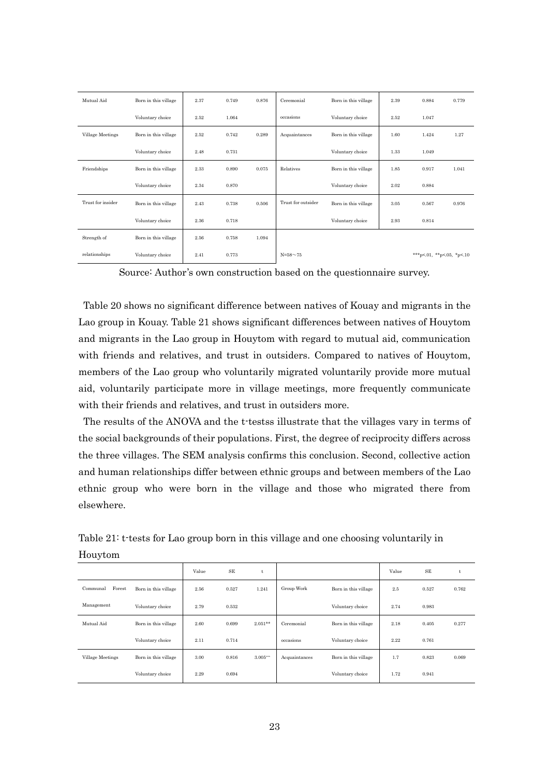| Mutual Aid        | Born in this village | 2.37 | 0.749 | 0.876 | Ceremonial         | Born in this village | 2.39 | 0.884                     | 0.779 |
|-------------------|----------------------|------|-------|-------|--------------------|----------------------|------|---------------------------|-------|
|                   | Voluntary choice     | 2.52 | 1.064 |       | occasions          | Voluntary choice     | 2.52 | 1.047                     |       |
| Village Meetings  | Born in this village | 2.52 | 0.742 | 0.289 | Acquaintances      | Born in this village | 1.60 | 1.424                     | 1.27  |
|                   | Voluntary choice     | 2.48 | 0.731 |       |                    | Voluntary choice     | 1.33 | 1.049                     |       |
| Friendships       | Born in this village | 2.33 | 0.890 | 0.075 | Relatives          | Born in this village | 1.85 | 0.917                     | 1.041 |
|                   | Voluntary choice     | 2.34 | 0.870 |       |                    | Voluntary choice     | 2.02 | 0.884                     |       |
| Trust for insider | Born in this village | 2.43 | 0.738 | 0.506 | Trust for outsider | Born in this village | 3.05 | 0.567                     | 0.976 |
|                   | Voluntary choice     | 2.36 | 0.718 |       |                    | Voluntary choice     | 2.93 | 0.814                     |       |
| Strength of       | Born in this village | 2.56 | 0.758 | 1.094 |                    |                      |      |                           |       |
| relationships     | Voluntary choice     | 2.41 | 0.773 |       | $N = 58 - 75$      |                      |      | ***p<.01, **p<.05, *p<.10 |       |

Source: Author's own construction based on the questionnaire survey.

Table 20 shows no significant difference between natives of Kouay and migrants in the Lao group in Kouay. Table 21 shows significant differences between natives of Houytom and migrants in the Lao group in Houytom with regard to mutual aid, communication with friends and relatives, and trust in outsiders. Compared to natives of Houytom, members of the Lao group who voluntarily migrated voluntarily provide more mutual aid, voluntarily participate more in village meetings, more frequently communicate with their friends and relatives, and trust in outsiders more.

The results of the ANOVA and the t-testss illustrate that the villages vary in terms of the social backgrounds of their populations. First, the degree of reciprocity differs across the three villages. The SEM analysis confirms this conclusion. Second, collective action and human relationships differ between ethnic groups and between members of the Lao ethnic group who were born in the village and those who migrated there from elsewhere.

|                    |                      | Value | <b>SE</b> | t          |               |                      | Value | SE    | t.    |
|--------------------|----------------------|-------|-----------|------------|---------------|----------------------|-------|-------|-------|
| Forest<br>Communal | Born in this village | 2.56  | 0.527     | 1.241      | Group Work    | Born in this village | 2.5   | 0.527 | 0.762 |
| Management         | Voluntary choice     | 2.79  | 0.532     |            |               | Voluntary choice     | 2.74  | 0.983 |       |
| Mutual Aid         | Born in this village | 2.60  | 0.699     | $2.051**$  | Ceremonial    | Born in this village | 2.18  | 0.405 | 0.277 |
|                    | Voluntary choice     | 2.11  | 0.714     |            | occasions     | Voluntary choice     | 2.22  | 0.761 |       |
| Village Meetings   | Born in this village | 3.00  | 0.816     | $3.005***$ | Acquaintances | Born in this village | 1.7   | 0.823 | 0.069 |
|                    | Voluntary choice     | 2.29  | 0.694     |            |               | Voluntary choice     | 1.72  | 0.941 |       |

Table 21: t-tests for Lao group born in this village and one choosing voluntarily in Houytom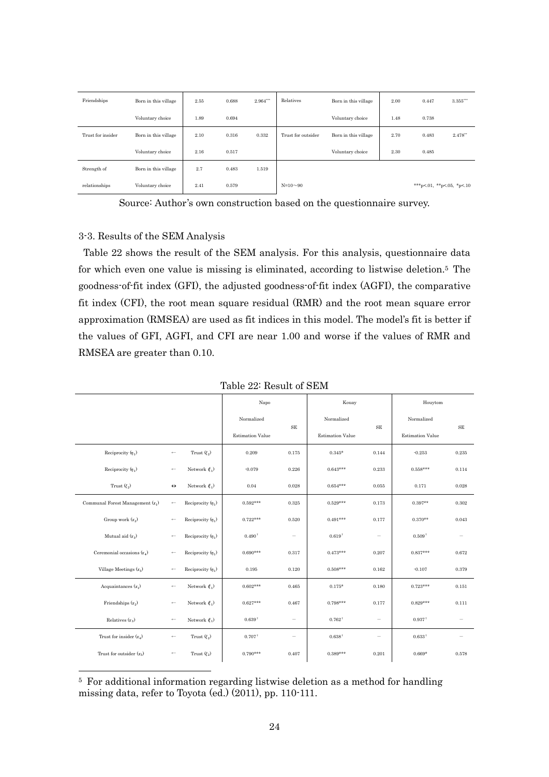| Friendships       | Born in this village | 2.55 | 0.688 | $2.964***$ | Relatives          | Born in this village | 2.00 | 0.447                     | $3.355***$ |
|-------------------|----------------------|------|-------|------------|--------------------|----------------------|------|---------------------------|------------|
|                   | Voluntary choice     | 1.89 | 0.694 |            |                    | Voluntary choice     | 1.48 | 0.738                     |            |
| Trust for insider | Born in this village | 2.10 | 0.316 | 0.332      | Trust for outsider | Born in this village | 2.70 | 0.483                     | $2.478**$  |
|                   | Voluntary choice     | 2.16 | 0.517 |            |                    | Voluntary choice     | 2.30 | 0.485                     |            |
| Strength of       | Born in this village | 2.7  | 0.483 | 1.519      |                    |                      |      |                           |            |
| relationships     | Voluntary choice     | 2.41 | 0.579 |            | $N=10 \sim 90$     |                      |      | ***p<.01, **p<.05, *p<.10 |            |

Source: Author's own construction based on the questionnaire survey.

# 3-3. Results of the SEM Analysis

-

Table 22 shows the result of the SEM analysis. For this analysis, questionnaire data for which even one value is missing is eliminated, according to listwise deletion. <sup>5</sup> The goodness-of-fit index (GFI), the adjusted goodness-of-fit index (AGFI), the comparative fit index (CFI), the root mean square residual (RMR) and the root mean square error approximation (RMSEA) are used as fit indices in this model. The model's fit is better if the values of GFI, AGFI, and CFI are near 1.00 and worse if the values of RMR and RMSEA are greater than 0.10.

|                                    |                   |                        | Napo                    |                          | Kouay                   |                   | Houytom                 |                          |
|------------------------------------|-------------------|------------------------|-------------------------|--------------------------|-------------------------|-------------------|-------------------------|--------------------------|
|                                    |                   |                        | Normalized              | <b>SE</b>                | Normalized              | <b>SE</b>         | Normalized              | <b>SE</b>                |
|                                    |                   |                        | <b>Estimation Value</b> |                          | <b>Estimation Value</b> |                   | <b>Estimation Value</b> |                          |
| Reciprocity $(\eta_1)$             | $\longleftarrow$  | Trust $(\xi_2)$        | 0.209                   | 0.175                    | $0.345*$                | 0.144             | $-0.253$                | 0.235                    |
| Reciprocity $(\eta_1)$             | $\longleftarrow$  | Network $(\xi_1)$      | $-0.079$                | 0.226                    | $0.643***$              | 0.233             | $0.558***$              | 0.114                    |
| Trust $(\xi_2)$                    | $\leftrightarrow$ | Network $(\xi_1)$      | 0.04                    | 0.028                    | $0.654***$              | 0.055             | 0.171                   | 0.028                    |
| Communal Forest Management $(x_1)$ | $\longleftarrow$  | Reciprocity $(\eta_1)$ | $0.592***$              | 0.325                    | $0.529***$              | 0.173             | $0.397**$               | 0.302                    |
| Group work $(x_2)$                 | $\longleftarrow$  | Reciprocity $(\eta_1)$ | $0.722***$              | 0.520                    | $0.491***$              | 0.177             | $0.370**$               | 0.043                    |
| Mutual aid $(x_2)$                 | $\longleftarrow$  | Reciprocity $(\eta_1)$ | $0.490^+$               | $\overline{\phantom{0}}$ | $0.619^+$               | $\qquad \qquad -$ | $0.509^+$               | $\overline{\phantom{0}}$ |
| Ceremonial occasions $(x_4)$       | $\longleftarrow$  | Reciprocity $(\eta_1)$ | $0.690***$              | 0.317                    | $0.473***$              | 0.207             | $0.837***$              | 0.672                    |
| Village Meetings $(x_5)$           | $\longleftarrow$  | Reciprocity $(\eta_1)$ | 0.195                   | 0.120                    | $0.508***$              | 0.162             | $-0.107$                | 0.379                    |
| Acquaintances $(x_1)$              | $\longleftarrow$  | Network $(\xi_1)$      | $0.602***$              | 0.465                    | $0.175*$                | 0.180             | $0.723***$              | 0.151                    |
| Friendships $(x_2)$                | $\longleftarrow$  | Network $(\xi_1)$      | $0.627***$              | 0.467                    | $0.798***$              | 0.177             | $0.829***$              | 0.111                    |
| Relatives $(x_3)$                  | $\longleftarrow$  | Network $(\xi_1)$      | $0.639^+$               | $\overline{\phantom{0}}$ | $0.762^+$               | $\qquad \qquad -$ | $0.937$ <sup>+</sup>    |                          |
| Trust for insider $(x_4)$          | $\longleftarrow$  | Trust $(\xi_2)$        | $0.707^+$               |                          | $0.638^+$               |                   | $0.633^+$               |                          |
| Trust for outsider $(x_5)$         | $\longleftarrow$  | Trust $(\xi_2)$        | $0.790***$              | 0.407                    | $0.389***$              | 0.201             | $0.669*$                | 0.578                    |

<sup>5</sup> For additional information regarding listwise deletion as a method for handling missing data, refer to Toyota (ed.) (2011), pp. 110-111.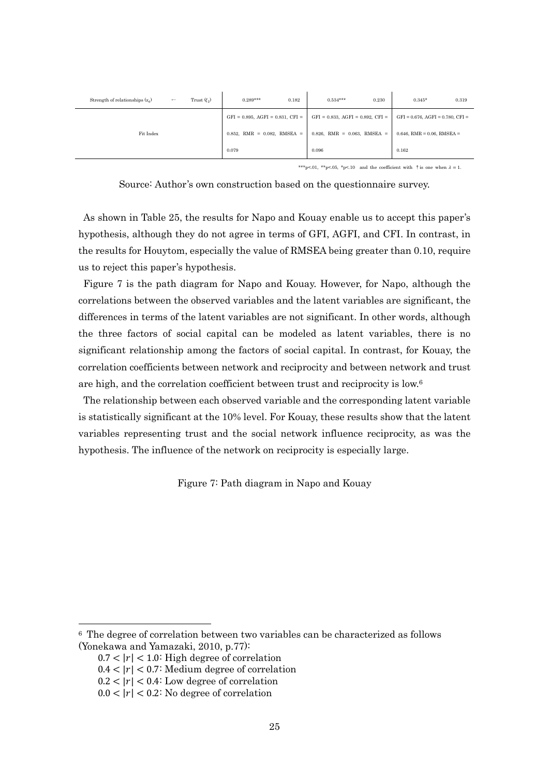| Strength of relationships $(x_6)$ | $\leftarrow$ | Trust $(\xi_2)$                   | $0.289***$                               | 0.182                             | $0.534***$                               | 0.230                         | $0.345*$                                 | 0.319 |
|-----------------------------------|--------------|-----------------------------------|------------------------------------------|-----------------------------------|------------------------------------------|-------------------------------|------------------------------------------|-------|
|                                   |              |                                   | $GFI = 0.895$ , $AGFI = 0.831$ , $CFI =$ |                                   | $GFI = 0.833$ , $AGFI = 0.892$ , $CFI =$ |                               | $GFI = 0.676$ , $AGFI = 0.780$ , $CFI =$ |       |
| Fit Index                         |              | $0.852$ , RMR = $0.082$ , RMSEA = |                                          | $0.826$ , RMR = $0.063$ , RMSEA = |                                          | $0.646$ , RMR = 0.06, RMSEA = |                                          |       |
|                                   |              |                                   | 0.079                                    |                                   | 0.096                                    |                               | 0.162                                    |       |

\*\*\*p<.01, \*\*p<.05, \*p<.10 and the coefficient with  $\dagger$  is one when  $\lambda = 1$ .

Source: Author's own construction based on the questionnaire survey.

As shown in Table 25, the results for Napo and Kouay enable us to accept this paper's hypothesis, although they do not agree in terms of GFI, AGFI, and CFI. In contrast, in the results for Houytom, especially the value of RMSEA being greater than 0.10, require us to reject this paper's hypothesis.

Figure 7 is the path diagram for Napo and Kouay. However, for Napo, although the correlations between the observed variables and the latent variables are significant, the differences in terms of the latent variables are not significant. In other words, although the three factors of social capital can be modeled as latent variables, there is no significant relationship among the factors of social capital. In contrast, for Kouay, the correlation coefficients between network and reciprocity and between network and trust are high, and the correlation coefficient between trust and reciprocity is low. 6

The relationship between each observed variable and the corresponding latent variable is statistically significant at the 10% level. For Kouay, these results show that the latent variables representing trust and the social network influence reciprocity, as was the hypothesis. The influence of the network on reciprocity is especially large.

Figure 7: Path diagram in Napo and Kouay

-

<sup>6</sup> The degree of correlation between two variables can be characterized as follows (Yonekawa and Yamazaki, 2010, p.77):

 $0.7 < |r| < 1.0$ : High degree of correlation

 $0.4 < |r| < 0.7$ : Medium degree of correlation

 $0.2 < |r| < 0.4$ : Low degree of correlation

 $0.0 < |r| < 0.2$ : No degree of correlation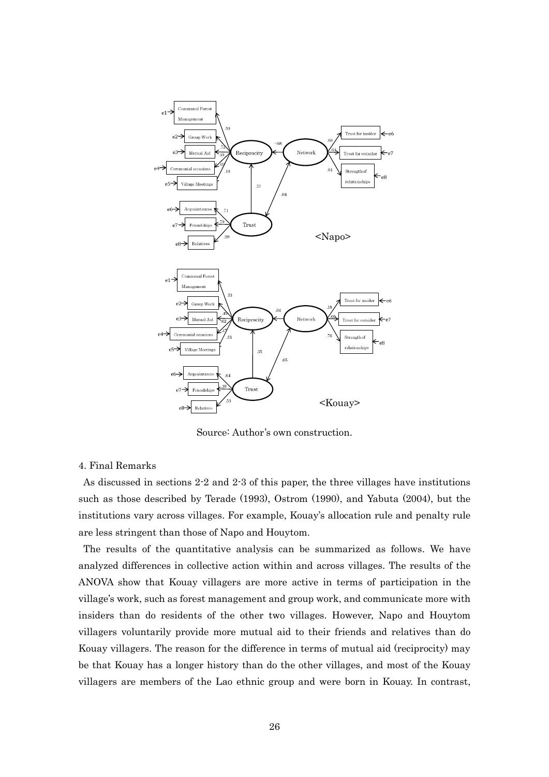

Source: Author's own construction.

#### 4. Final Remarks

As discussed in sections 2-2 and 2-3 of this paper, the three villages have institutions such as those described by Terade (1993), Ostrom (1990), and Yabuta (2004), but the institutions vary across villages. For example, Kouay's allocation rule and penalty rule are less stringent than those of Napo and Houytom.

The results of the quantitative analysis can be summarized as follows. We have analyzed differences in collective action within and across villages. The results of the ANOVA show that Kouay villagers are more active in terms of participation in the village's work, such as forest management and group work, and communicate more with insiders than do residents of the other two villages. However, Napo and Houytom villagers voluntarily provide more mutual aid to their friends and relatives than do Kouay villagers. The reason for the difference in terms of mutual aid (reciprocity) may be that Kouay has a longer history than do the other villages, and most of the Kouay villagers are members of the Lao ethnic group and were born in Kouay. In contrast,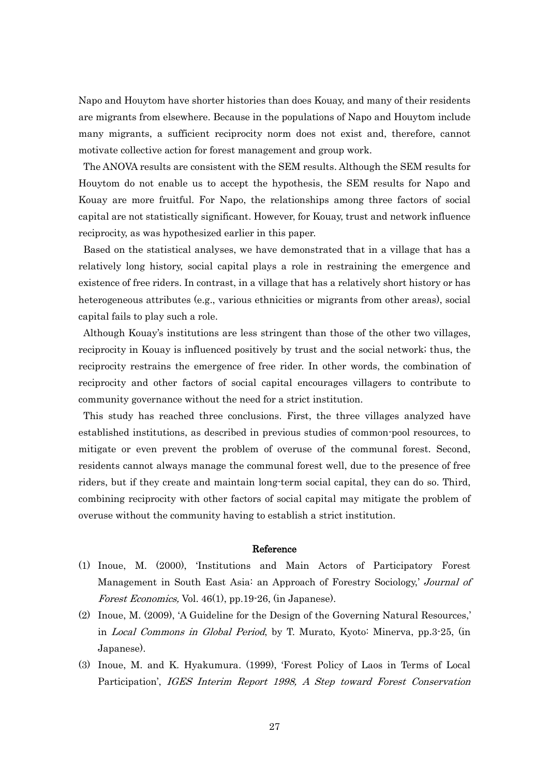Napo and Houytom have shorter histories than does Kouay, and many of their residents are migrants from elsewhere. Because in the populations of Napo and Houytom include many migrants, a sufficient reciprocity norm does not exist and, therefore, cannot motivate collective action for forest management and group work.

The ANOVA results are consistent with the SEM results. Although the SEM results for Houytom do not enable us to accept the hypothesis, the SEM results for Napo and Kouay are more fruitful. For Napo, the relationships among three factors of social capital are not statistically significant. However, for Kouay, trust and network influence reciprocity, as was hypothesized earlier in this paper.

Based on the statistical analyses, we have demonstrated that in a village that has a relatively long history, social capital plays a role in restraining the emergence and existence of free riders. In contrast, in a village that has a relatively short history or has heterogeneous attributes (e.g., various ethnicities or migrants from other areas), social capital fails to play such a role.

Although Kouay's institutions are less stringent than those of the other two villages, reciprocity in Kouay is influenced positively by trust and the social network; thus, the reciprocity restrains the emergence of free rider. In other words, the combination of reciprocity and other factors of social capital encourages villagers to contribute to community governance without the need for a strict institution.

This study has reached three conclusions. First, the three villages analyzed have established institutions, as described in previous studies of common-pool resources, to mitigate or even prevent the problem of overuse of the communal forest. Second, residents cannot always manage the communal forest well, due to the presence of free riders, but if they create and maintain long-term social capital, they can do so. Third, combining reciprocity with other factors of social capital may mitigate the problem of overuse without the community having to establish a strict institution.

#### Reference

- (1) Inoue, M. (2000), 'Institutions and Main Actors of Participatory Forest Management in South East Asia: an Approach of Forestry Sociology,' Journal of Forest Economics, Vol. 46(1), pp.19-26, (in Japanese).
- (2) Inoue, M. (2009), 'A Guideline for the Design of the Governing Natural Resources,' in Local Commons in Global Period, by T. Murato, Kyoto: Minerva, pp.3-25, (in Japanese).
- (3) Inoue, M. and K. Hyakumura. (1999), 'Forest Policy of Laos in Terms of Local Participation', IGES Interim Report 1998, A Step toward Forest Conservation